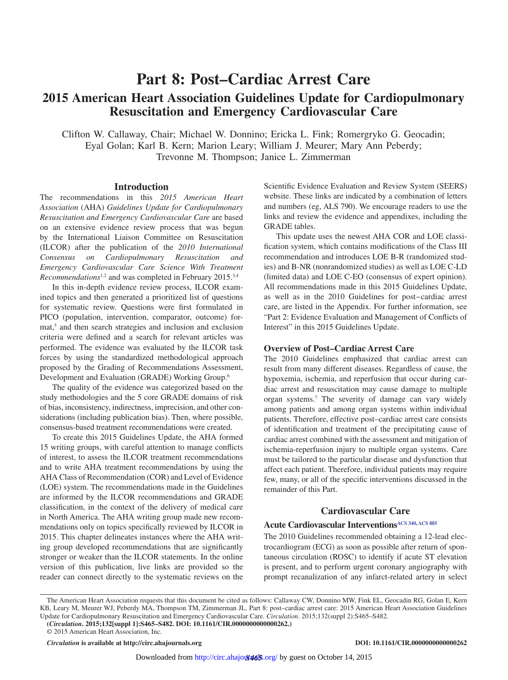# **Part 8: Post–Cardiac Arrest Care 2015 American Heart Association Guidelines Update for Cardiopulmonary Resuscitation and Emergency Cardiovascular Care**

Clifton W. Callaway, Chair; Michael W. Donnino; Ericka L. Fink; Romergryko G. Geocadin; Eyal Golan; Karl B. Kern; Marion Leary; William J. Meurer; Mary Ann Peberdy; Trevonne M. Thompson; Janice L. Zimmerman

### **Introduction**

The recommendations in this *2015 American Heart Association* (AHA) *Guidelines Update for Cardiopulmonary Resuscitation and Emergency Cardiovascular Care* are based on an extensive evidence review process that was begun by the International Liaison Committee on Resuscitation (ILCOR) after the publication of the *2010 International Consensus on Cardiopulmonary Resuscitation and Emergency Cardiovascular Care Science With Treatment Recommendations*1,2 and was completed in February 2015.3,4

In this in-depth evidence review process, ILCOR examined topics and then generated a prioritized list of questions for systematic review. Questions were first formulated in PICO (population, intervention, comparator, outcome) format,<sup>5</sup> and then search strategies and inclusion and exclusion criteria were defined and a search for relevant articles was performed. The evidence was evaluated by the ILCOR task forces by using the standardized methodological approach proposed by the Grading of Recommendations Assessment, Development and Evaluation (GRADE) Working Group.6

The quality of the evidence was categorized based on the study methodologies and the 5 core GRADE domains of risk of bias, inconsistency, indirectness, imprecision, and other considerations (including publication bias). Then, where possible, consensus-based treatment recommendations were created.

To create this 2015 Guidelines Update, the AHA formed 15 writing groups, with careful attention to manage conflicts of interest, to assess the ILCOR treatment recommendations and to write AHA treatment recommendations by using the AHA Class of Recommendation (COR) and Level of Evidence (LOE) system. The recommendations made in the Guidelines are informed by the ILCOR recommendations and GRADE classification, in the context of the delivery of medical care in North America. The AHA writing group made new recommendations only on topics specifically reviewed by ILCOR in 2015. This chapter delineates instances where the AHA writing group developed recommendations that are significantly stronger or weaker than the ILCOR statements. In the online version of this publication, live links are provided so the reader can connect directly to the systematic reviews on the Scientific Evidence Evaluation and Review System (SEERS) website. These links are indicated by a combination of letters and numbers (eg, ALS 790). We encourage readers to use the links and review the evidence and appendixes, including the GRADE tables.

This update uses the newest AHA COR and LOE classification system, which contains modifications of the Class III recommendation and introduces LOE B-R (randomized studies) and B-NR (nonrandomized studies) as well as LOE C-LD (limited data) and LOE C-EO (consensus of expert opinion). All recommendations made in this 2015 Guidelines Update, as well as in the 2010 Guidelines for post-cardiac arrest care, are listed in the Appendix. For further information, see "Part 2: Evidence Evaluation and Management of Conflicts of Interest" in this 2015 Guidelines Update.

### **Overview of Post–Cardiac Arrest Care**

The 2010 Guidelines emphasized that cardiac arrest can result from many different diseases. Regardless of cause, the hypoxemia, ischemia, and reperfusion that occur during cardiac arrest and resuscitation may cause damage to multiple organ systems.7 The severity of damage can vary widely among patients and among organ systems within individual patients. Therefore, effective post–cardiac arrest care consists of identification and treatment of the precipitating cause of cardiac arrest combined with the assessment and mitigation of ischemia-reperfusion injury to multiple organ systems. Care must be tailored to the particular disease and dysfunction that affect each patient. Therefore, individual patients may require few, many, or all of the specific interventions discussed in the remainder of this Part.

# **Cardiovascular Care**

# **Acute Cardiovascular Intervention[sACS 340](https://volunteer.heart.org/apps/pico/Pages/PublicComment.aspx?q=340), [ACS 885](https://volunteer.heart.org/apps/pico/Pages/PublicComment.aspx?q=885)**

The 2010 Guidelines recommended obtaining a 12-lead electrocardiogram (ECG) as soon as possible after return of spontaneous circulation (ROSC) to identify if acute ST elevation is present, and to perform urgent coronary angiography with prompt recanalization of any infarct-related artery in select

© 2015 American Heart Association, Inc.

The American Heart Association requests that this document be cited as follows: Callaway CW, Donnino MW, Fink EL, Geocadin RG, Golan E, Kern KB, Leary M, Meurer WJ, Peberdy MA, Thompson TM, Zimmerman JL. Part 8: post–cardiac arrest care: 2015 American Heart Association Guidelines Update for Cardiopulmonary Resuscitation and Emergency Cardiovascular Care. *Circulation*. 2015;132(suppl 2):S465–S482.

**<sup>(</sup>***Circulation***. 2015;132[suppl 1]:S465–S482. DOI: 10.1161/CIR.0000000000000262.)**

*Circulation* **is available at http://circ.ahajournals.org DOI: 10.1161/CIR.0000000000000262**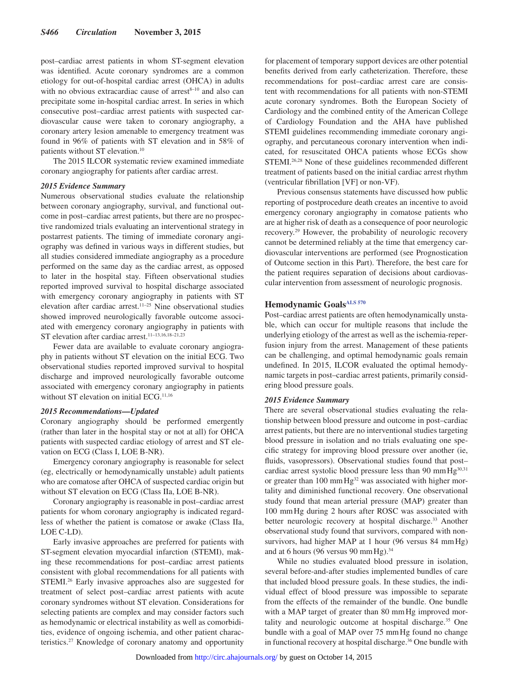post–cardiac arrest patients in whom ST-segment elevation was identified. Acute coronary syndromes are a common etiology for out-of-hospital cardiac arrest (OHCA) in adults with no obvious extracardiac cause of arrest<sup>8-10</sup> and also can precipitate some in-hospital cardiac arrest. In series in which consecutive post–cardiac arrest patients with suspected cardiovascular cause were taken to coronary angiography, a coronary artery lesion amenable to emergency treatment was found in 96% of patients with ST elevation and in 58% of patients without ST elevation.10

The 2015 ILCOR systematic review examined immediate coronary angiography for patients after cardiac arrest.

#### *2015 Evidence Summary*

Numerous observational studies evaluate the relationship between coronary angiography, survival, and functional outcome in post–cardiac arrest patients, but there are no prospective randomized trials evaluating an interventional strategy in postarrest patients. The timing of immediate coronary angiography was defined in various ways in different studies, but all studies considered immediate angiography as a procedure performed on the same day as the cardiac arrest, as opposed to later in the hospital stay. Fifteen observational studies reported improved survival to hospital discharge associated with emergency coronary angiography in patients with ST elevation after cardiac arrest.11–25 Nine observational studies showed improved neurologically favorable outcome associated with emergency coronary angiography in patients with ST elevation after cardiac arrest.<sup>11-13,16,18-21,23</sup>

Fewer data are available to evaluate coronary angiography in patients without ST elevation on the initial ECG. Two observational studies reported improved survival to hospital discharge and improved neurologically favorable outcome associated with emergency coronary angiography in patients without ST elevation on initial ECG.<sup>11,16</sup>

#### *2015 Recommendations—Updated*

Coronary angiography should be performed emergently (rather than later in the hospital stay or not at all) for OHCA patients with suspected cardiac etiology of arrest and ST elevation on ECG (Class I, LOE B-NR).

Emergency coronary angiography is reasonable for select (eg, electrically or hemodynamically unstable) adult patients who are comatose after OHCA of suspected cardiac origin but without ST elevation on ECG (Class IIa, LOE B-NR).

Coronary angiography is reasonable in post–cardiac arrest patients for whom coronary angiography is indicated regardless of whether the patient is comatose or awake (Class IIa, LOE C-LD).

Early invasive approaches are preferred for patients with ST-segment elevation myocardial infarction (STEMI), making these recommendations for post–cardiac arrest patients consistent with global recommendations for all patients with STEMI.<sup>26</sup> Early invasive approaches also are suggested for treatment of select post–cardiac arrest patients with acute coronary syndromes without ST elevation. Considerations for selecting patients are complex and may consider factors such as hemodynamic or electrical instability as well as comorbidities, evidence of ongoing ischemia, and other patient characteristics.27 Knowledge of coronary anatomy and opportunity

for placement of temporary support devices are other potential benefits derived from early catheterization. Therefore, these recommendations for post–cardiac arrest care are consistent with recommendations for all patients with non-STEMI acute coronary syndromes. Both the European Society of Cardiology and the combined entity of the American College of Cardiology Foundation and the AHA have published STEMI guidelines recommending immediate coronary angiography, and percutaneous coronary intervention when indicated, for resuscitated OHCA patients whose ECGs show STEMI.26,28 None of these guidelines recommended different treatment of patients based on the initial cardiac arrest rhythm (ventricular fibrillation [VF] or non-VF).

Previous consensus statements have discussed how public reporting of postprocedure death creates an incentive to avoid emergency coronary angiography in comatose patients who are at higher risk of death as a consequence of poor neurologic recovery.29 However, the probability of neurologic recovery cannot be determined reliably at the time that emergency cardiovascular interventions are performed (see Prognostication of Outcome section in this Part). Therefore, the best care for the patient requires separation of decisions about cardiovascular intervention from assessment of neurologic prognosis.

### **Hemodynamic Goals[ALS 570](https://volunteer.heart.org/apps/pico/Pages/PublicComment.aspx?q=570)**

Post–cardiac arrest patients are often hemodynamically unstable, which can occur for multiple reasons that include the underlying etiology of the arrest as well as the ischemia-reperfusion injury from the arrest. Management of these patients can be challenging, and optimal hemodynamic goals remain undefined. In 2015, ILCOR evaluated the optimal hemodynamic targets in post–cardiac arrest patients, primarily considering blood pressure goals.

#### *2015 Evidence Summary*

There are several observational studies evaluating the relationship between blood pressure and outcome in post–cardiac arrest patients, but there are no interventional studies targeting blood pressure in isolation and no trials evaluating one specific strategy for improving blood pressure over another (ie, fluids, vasopressors). Observational studies found that post– cardiac arrest systolic blood pressure less than 90 mm  $Hg^{30,31}$ or greater than 100 mm Hg<sup>32</sup> was associated with higher mortality and diminished functional recovery. One observational study found that mean arterial pressure (MAP) greater than 100 mmHg during 2 hours after ROSC was associated with better neurologic recovery at hospital discharge.<sup>33</sup> Another observational study found that survivors, compared with nonsurvivors, had higher MAP at 1 hour (96 versus 84 mm Hg) and at 6 hours (96 versus 90 mm Hg). $34$ 

While no studies evaluated blood pressure in isolation, several before-and-after studies implemented bundles of care that included blood pressure goals. In these studies, the individual effect of blood pressure was impossible to separate from the effects of the remainder of the bundle. One bundle with a MAP target of greater than 80 mmHg improved mortality and neurologic outcome at hospital discharge.<sup>35</sup> One bundle with a goal of MAP over 75 mmHg found no change in functional recovery at hospital discharge.<sup>36</sup> One bundle with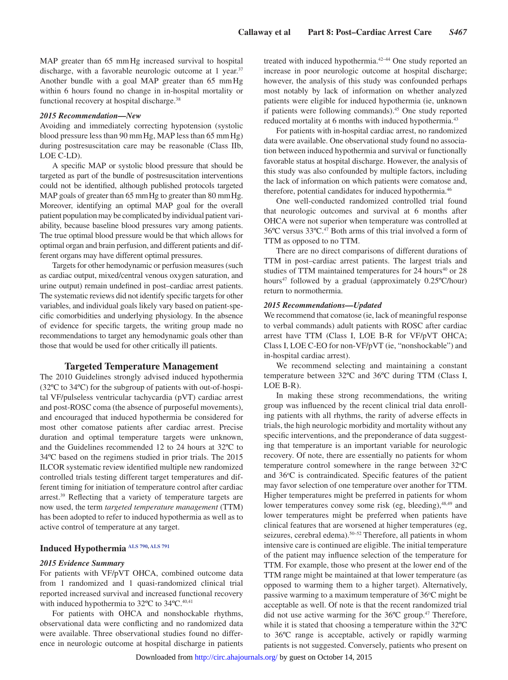MAP greater than 65 mmHg increased survival to hospital discharge, with a favorable neurologic outcome at 1 year.<sup>37</sup> Another bundle with a goal MAP greater than 65 mmHg within 6 hours found no change in in-hospital mortality or functional recovery at hospital discharge.<sup>38</sup>

#### *2015 Recommendation—New*

Avoiding and immediately correcting hypotension (systolic blood pressure less than 90 mmHg, MAP less than 65 mmHg) during postresuscitation care may be reasonable (Class IIb, LOE C-LD).

A specific MAP or systolic blood pressure that should be targeted as part of the bundle of postresuscitation interventions could not be identified, although published protocols targeted MAP goals of greater than 65 mm Hg to greater than 80 mm Hg. Moreover, identifying an optimal MAP goal for the overall patient population may be complicated by individual patient variability, because baseline blood pressures vary among patients. The true optimal blood pressure would be that which allows for optimal organ and brain perfusion, and different patients and different organs may have different optimal pressures.

Targets for other hemodynamic or perfusion measures (such as cardiac output, mixed/central venous oxygen saturation, and urine output) remain undefined in post–cardiac arrest patients. The systematic reviews did not identify specific targets for other variables, and individual goals likely vary based on patient-specific comorbidities and underlying physiology. In the absence of evidence for specific targets, the writing group made no recommendations to target any hemodynamic goals other than those that would be used for other critically ill patients.

### **Targeted Temperature Management**

The 2010 Guidelines strongly advised induced hypothermia (32ºC to 34ºC) for the subgroup of patients with out-of-hospital VF/pulseless ventricular tachycardia (pVT) cardiac arrest and post-ROSC coma (the absence of purposeful movements), and encouraged that induced hypothermia be considered for most other comatose patients after cardiac arrest. Precise duration and optimal temperature targets were unknown, and the Guidelines recommended 12 to 24 hours at 32ºC to 34ºC based on the regimens studied in prior trials. The 2015 ILCOR systematic review identified multiple new randomized controlled trials testing different target temperatures and different timing for initiation of temperature control after cardiac arrest.<sup>39</sup> Reflecting that a variety of temperature targets are now used, the term *targeted temperature management* (TTM) has been adopted to refer to induced hypothermia as well as to active control of temperature at any target.

# **Induced Hypothermia [ALS 790](https://volunteer.heart.org/apps/pico/Pages/PublicComment.aspx?q=790), [ALS 791](https://volunteer.heart.org/apps/pico/Pages/PublicComment.aspx?q=791)**

#### *2015 Evidence Summary*

For patients with VF/pVT OHCA, combined outcome data from 1 randomized and 1 quasi-randomized clinical trial reported increased survival and increased functional recovery with induced hypothermia to  $32^{\circ}$ C to  $34^{\circ}$ C.<sup>40,41</sup>

For patients with OHCA and nonshockable rhythms, observational data were conflicting and no randomized data were available. Three observational studies found no difference in neurologic outcome at hospital discharge in patients treated with induced hypothermia.42–44 One study reported an increase in poor neurologic outcome at hospital discharge; however, the analysis of this study was confounded perhaps most notably by lack of information on whether analyzed patients were eligible for induced hypothermia (ie, unknown if patients were following commands).45 One study reported reduced mortality at 6 months with induced hypothermia.<sup>43</sup>

For patients with in-hospital cardiac arrest, no randomized data were available. One observational study found no association between induced hypothermia and survival or functionally favorable status at hospital discharge. However, the analysis of this study was also confounded by multiple factors, including the lack of information on which patients were comatose and, therefore, potential candidates for induced hypothermia.<sup>46</sup>

One well-conducted randomized controlled trial found that neurologic outcomes and survival at 6 months after OHCA were not superior when temperature was controlled at 36ºC versus 33ºC.47 Both arms of this trial involved a form of TTM as opposed to no TTM.

There are no direct comparisons of different durations of TTM in post–cardiac arrest patients. The largest trials and studies of TTM maintained temperatures for  $24$  hours<sup>40</sup> or  $28$ hours<sup>47</sup> followed by a gradual (approximately 0.25°C/hour) return to normothermia.

#### *2015 Recommendations—Updated*

We recommend that comatose (ie, lack of meaningful response to verbal commands) adult patients with ROSC after cardiac arrest have TTM (Class I, LOE B-R for VF/pVT OHCA; Class I, LOE C-EO for non-VF/pVT (ie, "nonshockable") and in-hospital cardiac arrest).

We recommend selecting and maintaining a constant temperature between 32ºC and 36ºC during TTM (Class I, LOE B-R).

In making these strong recommendations, the writing group was influenced by the recent clinical trial data enrolling patients with all rhythms, the rarity of adverse effects in trials, the high neurologic morbidity and mortality without any specific interventions, and the preponderance of data suggesting that temperature is an important variable for neurologic recovery. Of note, there are essentially no patients for whom temperature control somewhere in the range between 32°C and 36°C is contraindicated. Specific features of the patient may favor selection of one temperature over another for TTM. Higher temperatures might be preferred in patients for whom lower temperatures convey some risk (eg, bleeding), 48,49 and lower temperatures might be preferred when patients have clinical features that are worsened at higher temperatures (eg, seizures, cerebral edema).<sup>50-52</sup> Therefore, all patients in whom intensive care is continued are eligible. The initial temperature of the patient may influence selection of the temperature for TTM. For example, those who present at the lower end of the TTM range might be maintained at that lower temperature (as opposed to warming them to a higher target). Alternatively, passive warming to a maximum temperature of 36°C might be acceptable as well. Of note is that the recent randomized trial did not use active warming for the 36°C group.<sup>47</sup> Therefore, while it is stated that choosing a temperature within the 32ºC to 36ºC range is acceptable, actively or rapidly warming patients is not suggested. Conversely, patients who present on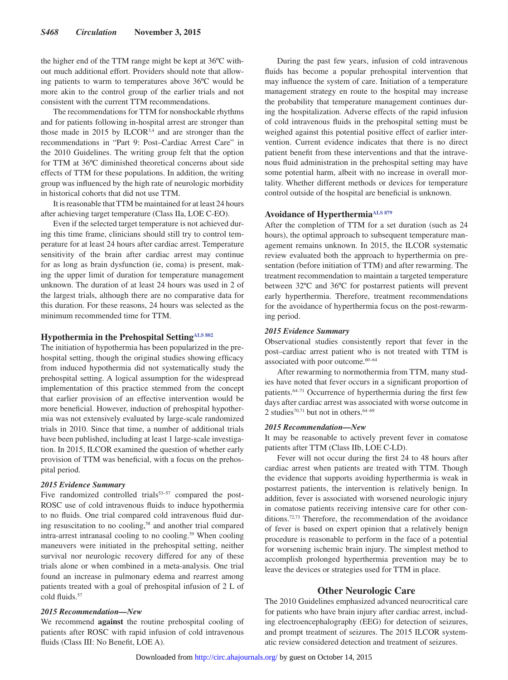the higher end of the TTM range might be kept at 36ºC without much additional effort. Providers should note that allowing patients to warm to temperatures above 36ºC would be more akin to the control group of the earlier trials and not consistent with the current TTM recommendations.

The recommendations for TTM for nonshockable rhythms and for patients following in-hospital arrest are stronger than those made in 2015 by ILCOR<sup>3,4</sup> and are stronger than the recommendations in "Part 9: Post–Cardiac Arrest Care" in the 2010 Guidelines. The writing group felt that the option for TTM at 36ºC diminished theoretical concerns about side effects of TTM for these populations. In addition, the writing group was influenced by the high rate of neurologic morbidity in historical cohorts that did not use TTM.

It is reasonable that TTM be maintained for at least 24 hours after achieving target temperature (Class IIa, LOE C-EO).

Even if the selected target temperature is not achieved during this time frame, clinicians should still try to control temperature for at least 24 hours after cardiac arrest. Temperature sensitivity of the brain after cardiac arrest may continue for as long as brain dysfunction (ie, coma) is present, making the upper limit of duration for temperature management unknown. The duration of at least 24 hours was used in 2 of the largest trials, although there are no comparative data for this duration. For these reasons, 24 hours was selected as the minimum recommended time for TTM.

### **Hypothermia in the Prehospital Setting[ALS 802](https://volunteer.heart.org/apps/pico/Pages/PublicComment.aspx?q=802)**

The initiation of hypothermia has been popularized in the prehospital setting, though the original studies showing efficacy from induced hypothermia did not systematically study the prehospital setting. A logical assumption for the widespread implementation of this practice stemmed from the concept that earlier provision of an effective intervention would be more beneficial. However, induction of prehospital hypothermia was not extensively evaluated by large-scale randomized trials in 2010. Since that time, a number of additional trials have been published, including at least 1 large-scale investigation. In 2015, ILCOR examined the question of whether early provision of TTM was beneficial, with a focus on the prehospital period.

#### *2015 Evidence Summary*

Five randomized controlled trials $53-57$  compared the post-ROSC use of cold intravenous fluids to induce hypothermia to no fluids. One trial compared cold intravenous fluid during resuscitation to no cooling,58 and another trial compared intra-arrest intranasal cooling to no cooling.<sup>59</sup> When cooling maneuvers were initiated in the prehospital setting, neither survival nor neurologic recovery differed for any of these trials alone or when combined in a meta-analysis. One trial found an increase in pulmonary edema and rearrest among patients treated with a goal of prehospital infusion of 2 L of cold fluids.57

#### *2015 Recommendation—New*

We recommend **against** the routine prehospital cooling of patients after ROSC with rapid infusion of cold intravenous fluids (Class III: No Benefit, LOE A).

During the past few years, infusion of cold intravenous fluids has become a popular prehospital intervention that may influence the system of care. Initiation of a temperature management strategy en route to the hospital may increase the probability that temperature management continues during the hospitalization. Adverse effects of the rapid infusion of cold intravenous fluids in the prehospital setting must be weighed against this potential positive effect of earlier intervention. Current evidence indicates that there is no direct patient benefit from these interventions and that the intravenous fluid administration in the prehospital setting may have some potential harm, albeit with no increase in overall mortality. Whether different methods or devices for temperature control outside of the hospital are beneficial is unknown.

# Avoidance of Hyperthermia<sup>ALS 879</sup>

After the completion of TTM for a set duration (such as 24 hours), the optimal approach to subsequent temperature management remains unknown. In 2015, the ILCOR systematic review evaluated both the approach to hyperthermia on presentation (before initiation of TTM) and after rewarming. The treatment recommendation to maintain a targeted temperature between 32ºC and 36ºC for postarrest patients will prevent early hyperthermia. Therefore, treatment recommendations for the avoidance of hyperthermia focus on the post-rewarming period.

### *2015 Evidence Summary*

Observational studies consistently report that fever in the post–cardiac arrest patient who is not treated with TTM is associated with poor outcome.<sup>60-64</sup>

After rewarming to normothermia from TTM, many studies have noted that fever occurs in a significant proportion of patients.64–71 Occurrence of hyperthermia during the first few days after cardiac arrest was associated with worse outcome in 2 studies<sup>70,71</sup> but not in others.<sup>64–69</sup>

### *2015 Recommendation—New*

It may be reasonable to actively prevent fever in comatose patients after TTM (Class IIb, LOE C-LD).

Fever will not occur during the first 24 to 48 hours after cardiac arrest when patients are treated with TTM. Though the evidence that supports avoiding hyperthermia is weak in postarrest patients, the intervention is relatively benign. In addition, fever is associated with worsened neurologic injury in comatose patients receiving intensive care for other conditions.72,73 Therefore, the recommendation of the avoidance of fever is based on expert opinion that a relatively benign procedure is reasonable to perform in the face of a potential for worsening ischemic brain injury. The simplest method to accomplish prolonged hyperthermia prevention may be to leave the devices or strategies used for TTM in place.

### **Other Neurologic Care**

The 2010 Guidelines emphasized advanced neurocritical care for patients who have brain injury after cardiac arrest, including electroencephalography (EEG) for detection of seizures, and prompt treatment of seizures. The 2015 ILCOR systematic review considered detection and treatment of seizures.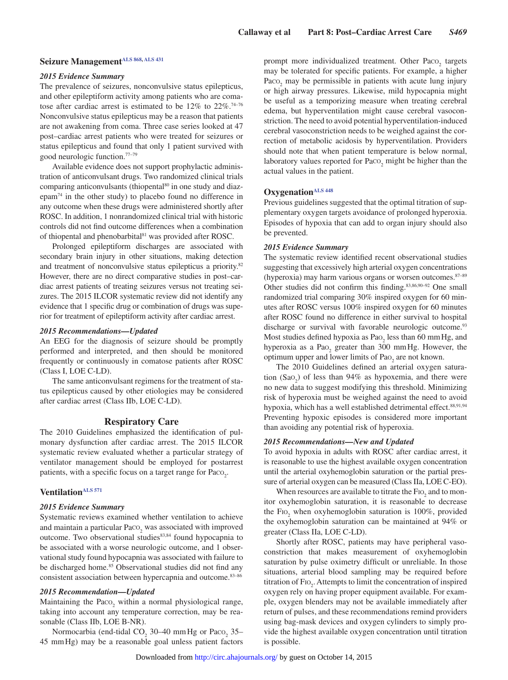# **Seizure Management[ALS 868](https://volunteer.heart.org/apps/pico/Pages/PublicComment.aspx?q=868), [ALS 431](https://volunteer.heart.org/apps/pico/Pages/PublicComment.aspx?q=431)**

#### *2015 Evidence Summary*

The prevalence of seizures, nonconvulsive status epilepticus, and other epileptiform activity among patients who are comatose after cardiac arrest is estimated to be  $12\%$  to  $22\%.74-76$ Nonconvulsive status epilepticus may be a reason that patients are not awakening from coma. Three case series looked at 47 post–cardiac arrest patients who were treated for seizures or status epilepticus and found that only 1 patient survived with good neurologic function.77–79

Available evidence does not support prophylactic administration of anticonvulsant drugs. Two randomized clinical trials comparing anticonvulsants (thiopental<sup>80</sup> in one study and diazepam74 in the other study) to placebo found no difference in any outcome when these drugs were administered shortly after ROSC. In addition, 1 nonrandomized clinical trial with historic controls did not find outcome differences when a combination of thiopental and phenobarbital<sup>81</sup> was provided after ROSC.

Prolonged epileptiform discharges are associated with secondary brain injury in other situations, making detection and treatment of nonconvulsive status epilepticus a priority.82 However, there are no direct comparative studies in post–cardiac arrest patients of treating seizures versus not treating seizures. The 2015 ILCOR systematic review did not identify any evidence that 1 specific drug or combination of drugs was superior for treatment of epileptiform activity after cardiac arrest.

#### *2015 Recommendations—Updated*

An EEG for the diagnosis of seizure should be promptly performed and interpreted, and then should be monitored frequently or continuously in comatose patients after ROSC (Class I, LOE C-LD).

The same anticonvulsant regimens for the treatment of status epilepticus caused by other etiologies may be considered after cardiac arrest (Class IIb, LOE C-LD).

#### **Respiratory Care**

The 2010 Guidelines emphasized the identification of pulmonary dysfunction after cardiac arrest. The 2015 ILCOR systematic review evaluated whether a particular strategy of ventilator management should be employed for postarrest patients, with a specific focus on a target range for Paco<sub>2</sub>.

#### **Ventilatio[nALS 571](https://volunteer.heart.org/apps/pico/Pages/PublicComment.aspx?q=571)**

#### *2015 Evidence Summary*

Systematic reviews examined whether ventilation to achieve and maintain a particular  $\text{Paco}_{2}$  was associated with improved outcome. Two observational studies<sup>83,84</sup> found hypocapnia to be associated with a worse neurologic outcome, and 1 observational study found hypocapnia was associated with failure to be discharged home.<sup>85</sup> Observational studies did not find any consistent association between hypercapnia and outcome.83–86

### *2015 Recommendation—Updated*

Maintaining the  $Paco<sub>2</sub>$  within a normal physiological range, taking into account any temperature correction, may be reasonable (Class IIb, LOE B-NR).

Normocarbia (end-tidal  $CO_2$  30–40 mm Hg or Paco<sub>2</sub> 35– 45 mmHg) may be a reasonable goal unless patient factors

prompt more individualized treatment. Other  $Paco_2$  targets may be tolerated for specific patients. For example, a higher Paco<sub>2</sub> may be permissible in patients with acute lung injury or high airway pressures. Likewise, mild hypocapnia might be useful as a temporizing measure when treating cerebral edema, but hyperventilation might cause cerebral vasoconstriction. The need to avoid potential hyperventilation-induced cerebral vasoconstriction needs to be weighed against the correction of metabolic acidosis by hyperventilation. Providers should note that when patient temperature is below normal, laboratory values reported for  $Paco_2$  might be higher than the actual values in the patient.

# **Oxygenation**<sup>ALS 448</sup>

Previous guidelines suggested that the optimal titration of supplementary oxygen targets avoidance of prolonged hyperoxia. Episodes of hypoxia that can add to organ injury should also be prevented.

#### *2015 Evidence Summary*

The systematic review identified recent observational studies suggesting that excessively high arterial oxygen concentrations (hyperoxia) may harm various organs or worsen outcomes.87–89 Other studies did not confirm this finding.83,86,90–92 One small randomized trial comparing 30% inspired oxygen for 60 minutes after ROSC versus 100% inspired oxygen for 60 minutes after ROSC found no difference in either survival to hospital discharge or survival with favorable neurologic outcome.<sup>93</sup> Most studies defined hypoxia as  $PaO<sub>2</sub>$  less than 60 mm Hg, and hyperoxia as a  $Pao_2$  greater than 300 mmHg. However, the optimum upper and lower limits of  $PaO<sub>2</sub>$  are not known.

The 2010 Guidelines defined an arterial oxygen saturation  $(Sao_2)$  of less than 94% as hypoxemia, and there were no new data to suggest modifying this threshold. Minimizing risk of hyperoxia must be weighed against the need to avoid hypoxia, which has a well established detrimental effect.<sup>88,91,94</sup> Preventing hypoxic episodes is considered more important than avoiding any potential risk of hyperoxia.

#### *2015 Recommendations—New and Updated*

To avoid hypoxia in adults with ROSC after cardiac arrest, it is reasonable to use the highest available oxygen concentration until the arterial oxyhemoglobin saturation or the partial pressure of arterial oxygen can be measured (Class IIa, LOE C-EO).

When resources are available to titrate the  $\text{FIO}_2$  and to monitor oxyhemoglobin saturation, it is reasonable to decrease the  $Fio_2$  when oxyhemoglobin saturation is 100%, provided the oxyhemoglobin saturation can be maintained at 94% or greater (Class IIa, LOE C-LD).

Shortly after ROSC, patients may have peripheral vasoconstriction that makes measurement of oxyhemoglobin saturation by pulse oximetry difficult or unreliable. In those situations, arterial blood sampling may be required before titration of FIO<sub>2</sub>. Attempts to limit the concentration of inspired oxygen rely on having proper equipment available. For example, oxygen blenders may not be available immediately after return of pulses, and these recommendations remind providers using bag-mask devices and oxygen cylinders to simply provide the highest available oxygen concentration until titration is possible.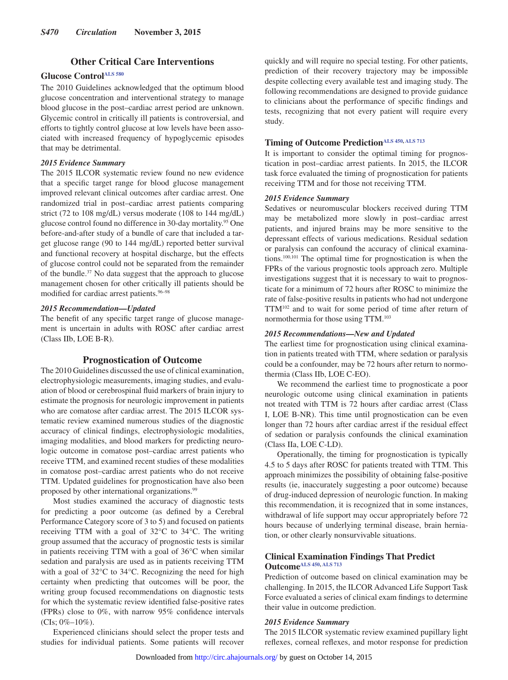# **Other Critical Care Interventions**

# **Glucose Contro[lALS 580](https://volunteer.heart.org/apps/pico/Pages/PublicComment.aspx?q=580)**

The 2010 Guidelines acknowledged that the optimum blood glucose concentration and interventional strategy to manage blood glucose in the post–cardiac arrest period are unknown. Glycemic control in critically ill patients is controversial, and efforts to tightly control glucose at low levels have been associated with increased frequency of hypoglycemic episodes that may be detrimental.

#### *2015 Evidence Summary*

The 2015 ILCOR systematic review found no new evidence that a specific target range for blood glucose management improved relevant clinical outcomes after cardiac arrest. One randomized trial in post–cardiac arrest patients comparing strict (72 to 108 mg/dL) versus moderate (108 to 144 mg/dL) glucose control found no difference in 30-day mortality.95 One before-and-after study of a bundle of care that included a target glucose range (90 to 144 mg/dL) reported better survival and functional recovery at hospital discharge, but the effects of glucose control could not be separated from the remainder of the bundle.37 No data suggest that the approach to glucose management chosen for other critically ill patients should be modified for cardiac arrest patients.<sup>96-98</sup>

### *2015 Recommendation—Updated*

The benefit of any specific target range of glucose management is uncertain in adults with ROSC after cardiac arrest (Class IIb, LOE B-R).

### **Prognostication of Outcome**

The 2010 Guidelines discussed the use of clinical examination, electrophysiologic measurements, imaging studies, and evaluation of blood or cerebrospinal fluid markers of brain injury to estimate the prognosis for neurologic improvement in patients who are comatose after cardiac arrest. The 2015 ILCOR systematic review examined numerous studies of the diagnostic accuracy of clinical findings, electrophysiologic modalities, imaging modalities, and blood markers for predicting neurologic outcome in comatose post–cardiac arrest patients who receive TTM, and examined recent studies of these modalities in comatose post–cardiac arrest patients who do not receive TTM. Updated guidelines for prognostication have also been proposed by other international organizations.<sup>99</sup>

Most studies examined the accuracy of diagnostic tests for predicting a poor outcome (as defined by a Cerebral Performance Category score of 3 to 5) and focused on patients receiving TTM with a goal of 32°C to 34°C. The writing group assumed that the accuracy of prognostic tests is similar in patients receiving TTM with a goal of 36°C when similar sedation and paralysis are used as in patients receiving TTM with a goal of 32°C to 34°C. Recognizing the need for high certainty when predicting that outcomes will be poor, the writing group focused recommendations on diagnostic tests for which the systematic review identified false-positive rates (FPRs) close to 0%, with narrow 95% confidence intervals (CIs; 0%–10%).

Experienced clinicians should select the proper tests and studies for individual patients. Some patients will recover

quickly and will require no special testing. For other patients, prediction of their recovery trajectory may be impossible despite collecting every available test and imaging study. The following recommendations are designed to provide guidance to clinicians about the performance of specific findings and tests, recognizing that not every patient will require every study.

# **Timing of Outcome Predictio[nALS 450](https://volunteer.heart.org/apps/pico/Pages/PublicComment.aspx?q=450), [ALS 713](https://volunteer.heart.org/apps/pico/Pages/PublicComment.aspx?q=713)**

It is important to consider the optimal timing for prognostication in post–cardiac arrest patients. In 2015, the ILCOR task force evaluated the timing of prognostication for patients receiving TTM and for those not receiving TTM.

#### *2015 Evidence Summary*

Sedatives or neuromuscular blockers received during TTM may be metabolized more slowly in post–cardiac arrest patients, and injured brains may be more sensitive to the depressant effects of various medications. Residual sedation or paralysis can confound the accuracy of clinical examinations.100,101 The optimal time for prognostication is when the FPRs of the various prognostic tools approach zero. Multiple investigations suggest that it is necessary to wait to prognosticate for a minimum of 72 hours after ROSC to minimize the rate of false-positive results in patients who had not undergone TTM102 and to wait for some period of time after return of normothermia for those using TTM.103

### *2015 Recommendations—New and Updated*

The earliest time for prognostication using clinical examination in patients treated with TTM, where sedation or paralysis could be a confounder, may be 72 hours after return to normothermia (Class IIb, LOE C-EO).

We recommend the earliest time to prognosticate a poor neurologic outcome using clinical examination in patients not treated with TTM is 72 hours after cardiac arrest (Class I, LOE B-NR). This time until prognostication can be even longer than 72 hours after cardiac arrest if the residual effect of sedation or paralysis confounds the clinical examination (Class IIa, LOE C-LD).

Operationally, the timing for prognostication is typically 4.5 to 5 days after ROSC for patients treated with TTM. This approach minimizes the possibility of obtaining false-positive results (ie, inaccurately suggesting a poor outcome) because of drug-induced depression of neurologic function. In making this recommendation, it is recognized that in some instances, withdrawal of life support may occur appropriately before 72 hours because of underlying terminal disease, brain herniation, or other clearly nonsurvivable situations.

### **Clinical Examination Findings That Predict Outcome[ALS 450](https://volunteer.heart.org/apps/pico/Pages/PublicComment.aspx?q=450), [ALS 713](https://volunteer.heart.org/apps/pico/Pages/PublicComment.aspx?q=713)**

Prediction of outcome based on clinical examination may be challenging. In 2015, the ILCOR Advanced Life Support Task Force evaluated a series of clinical exam findings to determine their value in outcome prediction.

### *2015 Evidence Summary*

The 2015 ILCOR systematic review examined pupillary light reflexes, corneal reflexes, and motor response for prediction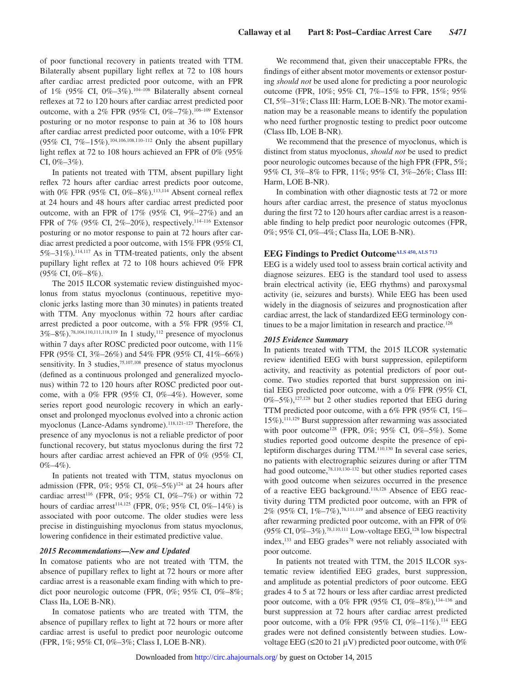of poor functional recovery in patients treated with TTM. Bilaterally absent pupillary light reflex at 72 to 108 hours after cardiac arrest predicted poor outcome, with an FPR of 1% (95% CI, 0%-3%).<sup>104-108</sup> Bilaterally absent corneal reflexes at 72 to 120 hours after cardiac arrest predicted poor outcome, with a 2% FPR (95% CI, 0%-7%).<sup>106-109</sup> Extensor posturing or no motor response to pain at 36 to 108 hours after cardiac arrest predicted poor outcome, with a 10% FPR (95% CI, 7%–15%).104,106,108,110–112 Only the absent pupillary light reflex at 72 to 108 hours achieved an FPR of 0% (95% CI,  $0\% - 3\%$ ).

In patients not treated with TTM, absent pupillary light reflex 72 hours after cardiac arrest predicts poor outcome, with 0% FPR (95% CI, 0%–8%).<sup>113,114</sup> Absent corneal reflex at 24 hours and 48 hours after cardiac arrest predicted poor outcome, with an FPR of  $17\%$  (95% CI, 9%–27%) and an FPR of 7% (95% CI, 2%–20%), respectively.<sup>114–116</sup> Extensor posturing or no motor response to pain at 72 hours after cardiac arrest predicted a poor outcome, with 15% FPR (95% CI, 5%–31%).114,117 As in TTM-treated patients, only the absent pupillary light reflex at 72 to 108 hours achieved 0% FPR (95% CI, 0%–8%).

The 2015 ILCOR systematic review distinguished myoclonus from status myoclonus (continuous, repetitive myoclonic jerks lasting more than 30 minutes) in patients treated with TTM. Any myoclonus within 72 hours after cardiac arrest predicted a poor outcome, with a 5% FPR (95% CI, 3%–8%).78,104,110,111,118,119 In 1 study,112 presence of myoclonus within 7 days after ROSC predicted poor outcome, with 11% FPR (95% CI, 3%–26%) and 54% FPR (95% CI, 41%–66%) sensitivity. In 3 studies,<sup>75,107,108</sup> presence of status myoclonus (defined as a continuous prolonged and generalized myoclonus) within 72 to 120 hours after ROSC predicted poor outcome, with a  $0\%$  FPR (95% CI,  $0\%$ –4%). However, some series report good neurologic recovery in which an earlyonset and prolonged myoclonus evolved into a chronic action myoclonus (Lance-Adams syndrome).<sup>118,121–123</sup> Therefore, the presence of any myoclonus is not a reliable predictor of poor functional recovery, but status myoclonus during the first 72 hours after cardiac arrest achieved an FPR of 0% (95% CI,  $0\% - 4\%$ ).

In patients not treated with TTM, status myoclonus on admission (FPR,  $0\%$ ;  $95\%$  CI,  $0\% - 5\%$ )<sup>124</sup> at 24 hours after cardiac arrest<sup>116</sup> (FPR, 0%; 95% CI, 0%–7%) or within 72 hours of cardiac arrest<sup>114,125</sup> (FPR, 0%; 95% CI, 0%–14%) is associated with poor outcome. The older studies were less precise in distinguishing myoclonus from status myoclonus, lowering confidence in their estimated predictive value.

### *2015 Recommendations—New and Updated*

In comatose patients who are not treated with TTM, the absence of pupillary reflex to light at 72 hours or more after cardiac arrest is a reasonable exam finding with which to predict poor neurologic outcome (FPR, 0%; 95% CI, 0%–8%; Class IIa, LOE B-NR).

In comatose patients who are treated with TTM, the absence of pupillary reflex to light at 72 hours or more after cardiac arrest is useful to predict poor neurologic outcome (FPR, 1%; 95% CI, 0%–3%; Class I, LOE B-NR).

We recommend that, given their unacceptable FPRs, the findings of either absent motor movements or extensor posturing *should not* be used alone for predicting a poor neurologic outcome (FPR, 10%; 95% CI, 7%–15% to FPR, 15%; 95% CI, 5%–31%; Class III: Harm, LOE B-NR). The motor examination may be a reasonable means to identify the population who need further prognostic testing to predict poor outcome (Class IIb, LOE B-NR).

We recommend that the presence of myoclonus, which is distinct from status myoclonus, *should not* be used to predict poor neurologic outcomes because of the high FPR (FPR, 5%; 95% CI, 3%–8% to FPR, 11%; 95% CI, 3%–26%; Class III: Harm, LOE B-NR).

In combination with other diagnostic tests at 72 or more hours after cardiac arrest, the presence of status myoclonus during the first 72 to 120 hours after cardiac arrest is a reasonable finding to help predict poor neurologic outcomes (FPR, 0%; 95% CI, 0%–4%; Class IIa, LOE B-NR).

# **EEG Findings to Predict Outcom[eALS 450,](https://volunteer.heart.org/apps/pico/Pages/PublicComment.aspx?q=450) [ALS 713](https://volunteer.heart.org/apps/pico/Pages/PublicComment.aspx?q=713)**

EEG is a widely used tool to assess brain cortical activity and diagnose seizures. EEG is the standard tool used to assess brain electrical activity (ie, EEG rhythms) and paroxysmal activity (ie, seizures and bursts). While EEG has been used widely in the diagnosis of seizures and prognostication after cardiac arrest, the lack of standardized EEG terminology continues to be a major limitation in research and practice.<sup>126</sup>

### *2015 Evidence Summary*

In patients treated with TTM, the 2015 ILCOR systematic review identified EEG with burst suppression, epileptiform activity, and reactivity as potential predictors of poor outcome. Two studies reported that burst suppression on initial EEG predicted poor outcome, with a 0% FPR (95% CI, 0%–5%),<sup>127,128</sup> but 2 other studies reported that EEG during TTM predicted poor outcome, with a 6% FPR (95% CI, 1%– 15%).111,129 Burst suppression after rewarming was associated with poor outcome<sup>128</sup> (FPR, 0%; 95% CI, 0%–5%). Some studies reported good outcome despite the presence of epileptiform discharges during TTM.110,130 In several case series, no patients with electrographic seizures during or after TTM had good outcome,<sup>78,110,130-132</sup> but other studies reported cases with good outcome when seizures occurred in the presence of a reactive EEG background.118,128 Absence of EEG reactivity during TTM predicted poor outcome, with an FPR of 2% (95% CI,  $1\% - 7\%$ ),<sup>78,111,119</sup> and absence of EEG reactivity after rewarming predicted poor outcome, with an FPR of 0% (95% CI, 0%–3%).78,110,111 Low-voltage EEG,128 low bispectral index, $133$  and EEG grades<sup>78</sup> were not reliably associated with poor outcome.

In patients not treated with TTM, the 2015 ILCOR systematic review identified EEG grades, burst suppression, and amplitude as potential predictors of poor outcome. EEG grades 4 to 5 at 72 hours or less after cardiac arrest predicted poor outcome, with a 0% FPR (95% CI, 0%–8%),<sup>134-136</sup> and burst suppression at 72 hours after cardiac arrest predicted poor outcome, with a 0% FPR (95% CI, 0%–11%).<sup>114</sup> EEG grades were not defined consistently between studies. Lowvoltage EEG ( $\leq$ 20 to 21 µV) predicted poor outcome, with 0%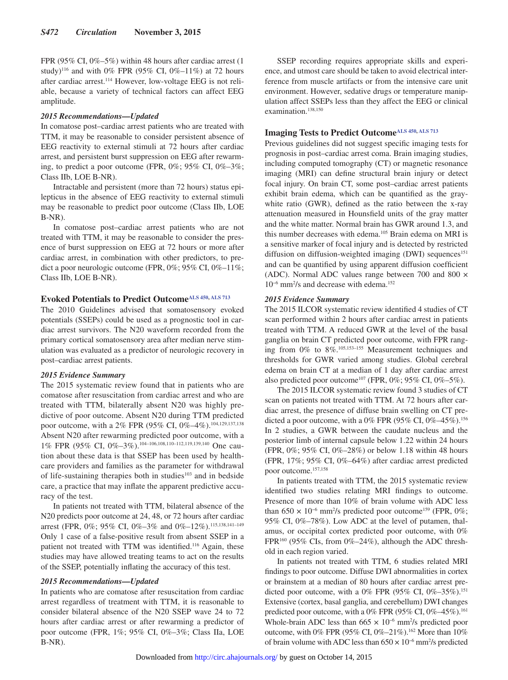FPR (95% CI,  $0\% - 5\%$ ) within 48 hours after cardiac arrest (1) study)<sup>116</sup> and with 0% FPR (95% CI, 0%–11%) at 72 hours after cardiac arrest.114 However, low-voltage EEG is not reliable, because a variety of technical factors can affect EEG amplitude.

#### *2015 Recommendations—Updated*

In comatose post–cardiac arrest patients who are treated with TTM, it may be reasonable to consider persistent absence of EEG reactivity to external stimuli at 72 hours after cardiac arrest, and persistent burst suppression on EEG after rewarming, to predict a poor outcome (FPR, 0%; 95% CI, 0%–3%; Class IIb, LOE B-NR).

Intractable and persistent (more than 72 hours) status epilepticus in the absence of EEG reactivity to external stimuli may be reasonable to predict poor outcome (Class IIb, LOE B-NR).

In comatose post–cardiac arrest patients who are not treated with TTM, it may be reasonable to consider the presence of burst suppression on EEG at 72 hours or more after cardiac arrest, in combination with other predictors, to predict a poor neurologic outcome (FPR, 0%; 95% CI, 0%–11%; Class IIb, LOE B-NR).

# **Evoked Potentials to Predict Outcom[eALS 450,](https://volunteer.heart.org/apps/pico/Pages/PublicComment.aspx?q=450) [ALS 713](https://volunteer.heart.org/apps/pico/Pages/PublicComment.aspx?q=713)**

The 2010 Guidelines advised that somatosensory evoked potentials (SSEPs) could be used as a prognostic tool in cardiac arrest survivors. The N20 waveform recorded from the primary cortical somatosensory area after median nerve stimulation was evaluated as a predictor of neurologic recovery in post–cardiac arrest patients.

#### *2015 Evidence Summary*

The 2015 systematic review found that in patients who are comatose after resuscitation from cardiac arrest and who are treated with TTM, bilaterally absent N20 was highly predictive of poor outcome. Absent N20 during TTM predicted poor outcome, with a 2% FPR (95% CI, 0%-4%).<sup>104,129,137,138</sup> Absent N20 after rewarming predicted poor outcome, with a 1% FPR (95% CI, 0%–3%).104–106,108,110–112,119,139,140 One caution about these data is that SSEP has been used by healthcare providers and families as the parameter for withdrawal of life-sustaining therapies both in studies<sup>103</sup> and in bedside care, a practice that may inflate the apparent predictive accuracy of the test.

In patients not treated with TTM, bilateral absence of the N20 predicts poor outcome at 24, 48, or 72 hours after cardiac arrest (FPR, 0%; 95% CI, 0%–3% and 0%–12%).115,138,141–149 Only 1 case of a false-positive result from absent SSEP in a patient not treated with TTM was identified.<sup>116</sup> Again, these studies may have allowed treating teams to act on the results of the SSEP, potentially inflating the accuracy of this test.

### *2015 Recommendations—Updated*

In patients who are comatose after resuscitation from cardiac arrest regardless of treatment with TTM, it is reasonable to consider bilateral absence of the N20 SSEP wave 24 to 72 hours after cardiac arrest or after rewarming a predictor of poor outcome (FPR, 1%; 95% CI, 0%–3%; Class IIa, LOE B-NR).

SSEP recording requires appropriate skills and experience, and utmost care should be taken to avoid electrical interference from muscle artifacts or from the intensive care unit environment. However, sedative drugs or temperature manipulation affect SSEPs less than they affect the EEG or clinical examination.<sup>138,150</sup>

# **Imaging Tests to Predict Outcome[ALS 450,](https://volunteer.heart.org/apps/pico/Pages/PublicComment.aspx?q=450) [ALS 713](https://volunteer.heart.org/apps/pico/Pages/PublicComment.aspx?q=713)**

Previous guidelines did not suggest specific imaging tests for prognosis in post–cardiac arrest coma. Brain imaging studies, including computed tomography (CT) or magnetic resonance imaging (MRI) can define structural brain injury or detect focal injury. On brain CT, some post–cardiac arrest patients exhibit brain edema, which can be quantified as the graywhite ratio (GWR), defined as the ratio between the x-ray attenuation measured in Hounsfield units of the gray matter and the white matter. Normal brain has GWR around 1.3, and this number decreases with edema.105 Brain edema on MRI is a sensitive marker of focal injury and is detected by restricted diffusion on diffusion-weighted imaging (DWI) sequences<sup>151</sup> and can be quantified by using apparent diffusion coefficient (ADC). Normal ADC values range between 700 and 800  $\times$ 10−6 mm2 /s and decrease with edema.152

#### *2015 Evidence Summary*

The 2015 ILCOR systematic review identified 4 studies of CT scan performed within 2 hours after cardiac arrest in patients treated with TTM. A reduced GWR at the level of the basal ganglia on brain CT predicted poor outcome, with FPR ranging from 0% to 8%.105,153–155 Measurement techniques and thresholds for GWR varied among studies. Global cerebral edema on brain CT at a median of 1 day after cardiac arrest also predicted poor outcome<sup>107</sup> (FPR,  $0\%$ ;  $95\%$  CI,  $0\%$ –5%).

The 2015 ILCOR systematic review found 3 studies of CT scan on patients not treated with TTM. At 72 hours after cardiac arrest, the presence of diffuse brain swelling on CT predicted a poor outcome, with a  $0\%$  FPR (95% CI,  $0\%$ –45%).<sup>156</sup> In 2 studies, a GWR between the caudate nucleus and the posterior limb of internal capsule below 1.22 within 24 hours (FPR, 0%; 95% CI, 0%–28%) or below 1.18 within 48 hours (FPR, 17%; 95% CI, 0%–64%) after cardiac arrest predicted poor outcome.157,158

In patients treated with TTM, the 2015 systematic review identified two studies relating MRI findings to outcome. Presence of more than 10% of brain volume with ADC less than  $650 \times 10^{-6}$  mm<sup>2</sup>/s predicted poor outcome<sup>159</sup> (FPR, 0%; 95% CI, 0%–78%). Low ADC at the level of putamen, thalamus, or occipital cortex predicted poor outcome, with 0% FPR<sup>160</sup> (95% CIs, from  $0\% - 24\%$ ), although the ADC threshold in each region varied.

In patients not treated with TTM, 6 studies related MRI findings to poor outcome. Diffuse DWI abnormalities in cortex or brainstem at a median of 80 hours after cardiac arrest predicted poor outcome, with a 0% FPR (95% CI, 0%-35%).<sup>151</sup> Extensive (cortex, basal ganglia, and cerebellum) DWI changes predicted poor outcome, with a  $0\%$  FPR (95% CI,  $0\%$ -45%).<sup>161</sup> Whole-brain ADC less than  $665 \times 10^{-6}$  mm<sup>2</sup>/s predicted poor outcome, with 0% FPR (95% CI, 0%–21%).<sup>162</sup> More than 10% of brain volume with ADC less than  $650 \times 10^{-6}$  mm<sup>2</sup>/s predicted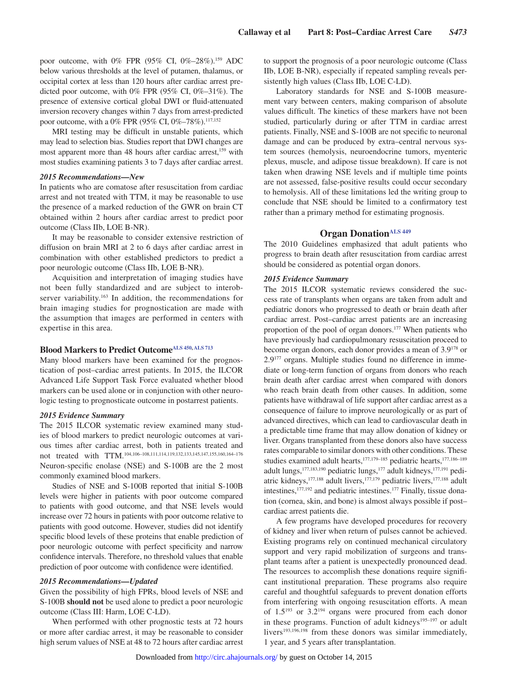poor outcome, with 0% FPR  $(95\% \text{ CI}, 0\% - 28\%)$ .<sup>159</sup> ADC below various thresholds at the level of putamen, thalamus, or occipital cortex at less than 120 hours after cardiac arrest predicted poor outcome, with 0% FPR (95% CI, 0%–31%). The presence of extensive cortical global DWI or fluid-attenuated inversion recovery changes within 7 days from arrest-predicted poor outcome, with a 0% FPR (95% CI, 0%-78%).<sup>117,152</sup>

MRI testing may be difficult in unstable patients, which may lead to selection bias. Studies report that DWI changes are most apparent more than 48 hours after cardiac arrest,<sup>159</sup> with most studies examining patients 3 to 7 days after cardiac arrest.

#### *2015 Recommendations—New*

In patients who are comatose after resuscitation from cardiac arrest and not treated with TTM, it may be reasonable to use the presence of a marked reduction of the GWR on brain CT obtained within 2 hours after cardiac arrest to predict poor outcome (Class IIb, LOE B-NR).

It may be reasonable to consider extensive restriction of diffusion on brain MRI at 2 to 6 days after cardiac arrest in combination with other established predictors to predict a poor neurologic outcome (Class IIb, LOE B-NR).

Acquisition and interpretation of imaging studies have not been fully standardized and are subject to interobserver variability.<sup>163</sup> In addition, the recommendations for brain imaging studies for prognostication are made with the assumption that images are performed in centers with expertise in this area.

# **Blood Markers to Predict Outcome[ALS 450,](https://volunteer.heart.org/apps/pico/Pages/PublicComment.aspx?q=450) [ALS 713](https://volunteer.heart.org/apps/pico/Pages/PublicComment.aspx?q=713)**

Many blood markers have been examined for the prognostication of post–cardiac arrest patients. In 2015, the ILCOR Advanced Life Support Task Force evaluated whether blood markers can be used alone or in conjunction with other neurologic testing to prognosticate outcome in postarrest patients.

#### *2015 Evidence Summary*

The 2015 ILCOR systematic review examined many studies of blood markers to predict neurologic outcomes at various times after cardiac arrest, both in patients treated and not treated with TTM.104,106–108,111,114,119,132,133,145,147,155,160,164–176 Neuron-specific enolase (NSE) and S-100B are the 2 most commonly examined blood markers.

Studies of NSE and S-100B reported that initial S-100B levels were higher in patients with poor outcome compared to patients with good outcome, and that NSE levels would increase over 72 hours in patients with poor outcome relative to patients with good outcome. However, studies did not identify specific blood levels of these proteins that enable prediction of poor neurologic outcome with perfect specificity and narrow confidence intervals. Therefore, no threshold values that enable prediction of poor outcome with confidence were identified.

#### *2015 Recommendations—Updated*

Given the possibility of high FPRs, blood levels of NSE and S-100B **should not** be used alone to predict a poor neurologic outcome (Class III: Harm, LOE C-LD).

When performed with other prognostic tests at 72 hours or more after cardiac arrest, it may be reasonable to consider high serum values of NSE at 48 to 72 hours after cardiac arrest to support the prognosis of a poor neurologic outcome (Class IIb, LOE B-NR), especially if repeated sampling reveals persistently high values (Class IIb, LOE C-LD).

Laboratory standards for NSE and S-100B measurement vary between centers, making comparison of absolute values difficult. The kinetics of these markers have not been studied, particularly during or after TTM in cardiac arrest patients. Finally, NSE and S-100B are not specific to neuronal damage and can be produced by extra–central nervous system sources (hemolysis, neuroendocrine tumors, myenteric plexus, muscle, and adipose tissue breakdown). If care is not taken when drawing NSE levels and if multiple time points are not assessed, false-positive results could occur secondary to hemolysis. All of these limitations led the writing group to conclude that NSE should be limited to a confirmatory test rather than a primary method for estimating prognosis.

# **Organ Donation[ALS 449](https://volunteer.heart.org/apps/pico/Pages/PublicComment.aspx?q=449)**

The 2010 Guidelines emphasized that adult patients who progress to brain death after resuscitation from cardiac arrest should be considered as potential organ donors.

### *2015 Evidence Summary*

The 2015 ILCOR systematic reviews considered the success rate of transplants when organs are taken from adult and pediatric donors who progressed to death or brain death after cardiac arrest. Post–cardiac arrest patients are an increasing proportion of the pool of organ donors.177 When patients who have previously had cardiopulmonary resuscitation proceed to become organ donors, each donor provides a mean of 3.9178 or 2.9177 organs. Multiple studies found no difference in immediate or long-term function of organs from donors who reach brain death after cardiac arrest when compared with donors who reach brain death from other causes. In addition, some patients have withdrawal of life support after cardiac arrest as a consequence of failure to improve neurologically or as part of advanced directives, which can lead to cardiovascular death in a predictable time frame that may allow donation of kidney or liver. Organs transplanted from these donors also have success rates comparable to similar donors with other conditions. These studies examined adult hearts,<sup>177,179–185</sup> pediatric hearts,<sup>177,186–189</sup> adult lungs,<sup>177,183,190</sup> pediatric lungs,<sup>177</sup> adult kidneys,<sup>177,191</sup> pediatric kidneys,<sup>177,188</sup> adult livers,<sup>177,179</sup> pediatric livers,<sup>177,188</sup> adult intestines,177,192 and pediatric intestines.177 Finally, tissue donation (cornea, skin, and bone) is almost always possible if post– cardiac arrest patients die.

A few programs have developed procedures for recovery of kidney and liver when return of pulses cannot be achieved. Existing programs rely on continued mechanical circulatory support and very rapid mobilization of surgeons and transplant teams after a patient is unexpectedly pronounced dead. The resources to accomplish these donations require significant institutional preparation. These programs also require careful and thoughtful safeguards to prevent donation efforts from interfering with ongoing resuscitation efforts. A mean of 1.5193 or 3.2194 organs were procured from each donor in these programs. Function of adult kidneys<sup>195-197</sup> or adult livers<sup>193,196,198</sup> from these donors was similar immediately, 1 year, and 5 years after transplantation.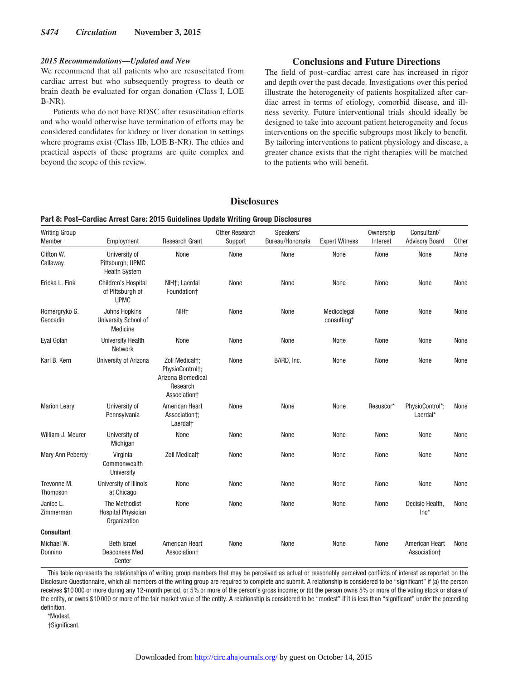#### *2015 Recommendations—Updated and New*

We recommend that all patients who are resuscitated from cardiac arrest but who subsequently progress to death or brain death be evaluated for organ donation (Class I, LOE B-NR).

Patients who do not have ROSC after resuscitation efforts and who would otherwise have termination of efforts may be considered candidates for kidney or liver donation in settings where programs exist (Class IIb, LOE B-NR). The ethics and practical aspects of these programs are quite complex and beyond the scope of this review.

# **Conclusions and Future Directions**

The field of post–cardiac arrest care has increased in rigor and depth over the past decade. Investigations over this period illustrate the heterogeneity of patients hospitalized after cardiac arrest in terms of etiology, comorbid disease, and illness severity. Future interventional trials should ideally be designed to take into account patient heterogeneity and focus interventions on the specific subgroups most likely to benefit. By tailoring interventions to patient physiology and disease, a greater chance exists that the right therapies will be matched to the patients who will benefit.

### **Disclosures**

#### **Part 8: Post–Cardiac Arrest Care: 2015 Guidelines Update Writing Group Disclosures**

| <b>Writing Group</b><br>Member | Employment                                                 | <b>Research Grant</b>                                                               | <b>Other Research</b><br>Support | Speakers'<br>Bureau/Honoraria | <b>Expert Witness</b>      | Ownership<br>Interest | Consultant/<br><b>Advisory Board</b> | Other |
|--------------------------------|------------------------------------------------------------|-------------------------------------------------------------------------------------|----------------------------------|-------------------------------|----------------------------|-----------------------|--------------------------------------|-------|
| Clifton W.<br>Callaway         | University of<br>Pittsburgh; UPMC<br><b>Health System</b>  | None                                                                                | None                             | None                          | None                       | None                  | None                                 | None  |
| Ericka L. Fink                 | Children's Hospital<br>of Pittsburgh of<br><b>UPMC</b>     | NIH <sub>+</sub> : Laerdal<br>Foundation <sup>+</sup>                               | None                             | None                          | None                       | None                  | None                                 | None  |
| Romergryko G.<br>Geocadin      | Johns Hopkins<br>University School of<br>Medicine          | NIH <sub>+</sub>                                                                    | None                             | None                          | Medicolegal<br>consulting* | None                  | None                                 | None  |
| Eyal Golan                     | <b>University Health</b><br>Network                        | None                                                                                | None                             | None                          | None                       | None                  | None                                 | None  |
| Karl B. Kern                   | University of Arizona                                      | Zoll Medical†:<br>PhysioControl†:<br>Arizona Biomedical<br>Research<br>Association+ | None                             | BARD. Inc.                    | None                       | None                  | None                                 | None  |
| <b>Marion Leary</b>            | University of<br>Pennsylvania                              | American Heart<br>Association†;<br>Laerdal <sup>+</sup>                             | None                             | None                          | None                       | Resuscor*             | PhysioControl*;<br>Laerdal*          | None  |
| William J. Meurer              | University of<br>Michigan                                  | None                                                                                | None                             | None                          | None                       | None                  | None                                 | None  |
| Mary Ann Peberdy               | Virginia<br>Commonwealth<br>University                     | <b>Zoll Medicalt</b>                                                                | None                             | None                          | None                       | None                  | None                                 | None  |
| Trevonne M.<br>Thompson        | University of Illinois<br>at Chicago                       | None                                                                                | None                             | None                          | None                       | None                  | None                                 | None  |
| Janice L.<br>Zimmerman         | The Methodist<br><b>Hospital Physician</b><br>Organization | None                                                                                | None                             | None                          | None                       | None                  | Decisio Health,<br>$Inc*$            | None  |
| <b>Consultant</b>              |                                                            |                                                                                     |                                  |                               |                            |                       |                                      |       |
| Michael W.<br>Donnino          | <b>Beth Israel</b><br><b>Deaconess Med</b><br>Center       | American Heart<br>Association+                                                      | None                             | None                          | None                       | None                  | American Heart<br>Association+       | None  |

This table represents the relationships of writing group members that may be perceived as actual or reasonably perceived conflicts of interest as reported on the Disclosure Questionnaire, which all members of the writing group are required to complete and submit. A relationship is considered to be "significant" if (a) the person receives \$10 000 or more during any 12-month period, or 5% or more of the person's gross income; or (b) the person owns 5% or more of the voting stock or share of the entity, or owns \$10 000 or more of the fair market value of the entity. A relationship is considered to be "modest" if it is less than "significant" under the preceding definition.

\*Modest.

†Significant.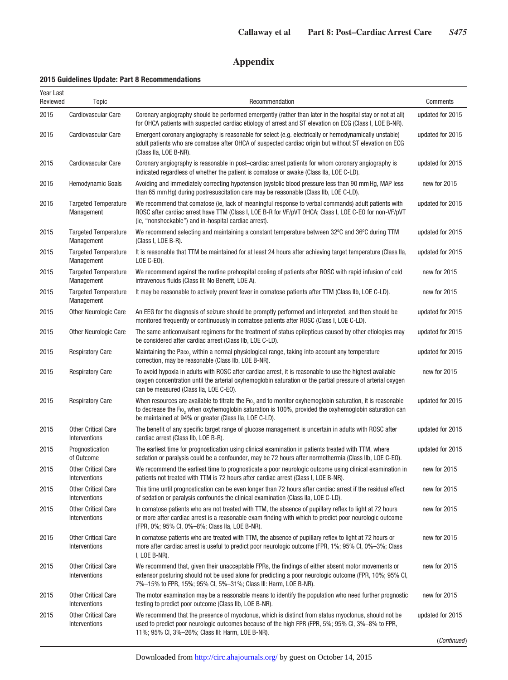# **Appendix**

# **2015 Guidelines Update: Part 8 Recommendations**

| Year Last<br>Reviewed | Topic                                       | Recommendation                                                                                                                                                                                                                                                                            | Comments         |
|-----------------------|---------------------------------------------|-------------------------------------------------------------------------------------------------------------------------------------------------------------------------------------------------------------------------------------------------------------------------------------------|------------------|
| 2015                  | Cardiovascular Care                         | Coronary angiography should be performed emergently (rather than later in the hospital stay or not at all)<br>for OHCA patients with suspected cardiac etiology of arrest and ST elevation on ECG (Class I, LOE B-NR).                                                                    | updated for 2015 |
| 2015                  | Cardiovascular Care                         | Emergent coronary angiography is reasonable for select (e.g. electrically or hemodynamically unstable)<br>adult patients who are comatose after OHCA of suspected cardiac origin but without ST elevation on ECG<br>(Class IIa, LOE B-NR).                                                | updated for 2015 |
| 2015                  | Cardiovascular Care                         | Coronary angiography is reasonable in post–cardiac arrest patients for whom coronary angiography is<br>indicated regardless of whether the patient is comatose or awake (Class IIa, LOE C-LD).                                                                                            | updated for 2015 |
| 2015                  | Hemodynamic Goals                           | Avoiding and immediately correcting hypotension (systolic blood pressure less than 90 mm Hg, MAP less<br>than 65 mm Hg) during postresuscitation care may be reasonable (Class IIb, LOE C-LD).                                                                                            | new for 2015     |
| 2015                  | <b>Targeted Temperature</b><br>Management   | We recommend that comatose (ie, lack of meaningful response to verbal commands) adult patients with<br>ROSC after cardiac arrest have TTM (Class I, LOE B-R for VF/pVT OHCA; Class I, LOE C-EO for non-VF/pVT<br>(ie, "nonshockable") and in-hospital cardiac arrest).                    | updated for 2015 |
| 2015                  | <b>Targeted Temperature</b><br>Management   | We recommend selecting and maintaining a constant temperature between 32°C and 36°C during TTM<br>(Class I, LOE B-R).                                                                                                                                                                     | updated for 2015 |
| 2015                  | <b>Targeted Temperature</b><br>Management   | It is reasonable that TTM be maintained for at least 24 hours after achieving target temperature (Class IIa,<br>LOE $C$ -EO).                                                                                                                                                             | updated for 2015 |
| 2015                  | <b>Targeted Temperature</b><br>Management   | We recommend against the routine prehospital cooling of patients after ROSC with rapid infusion of cold<br>intravenous fluids (Class III: No Benefit, LOE A).                                                                                                                             | new for 2015     |
| 2015                  | <b>Targeted Temperature</b><br>Management   | It may be reasonable to actively prevent fever in comatose patients after TTM (Class IIb, LOE C-LD).                                                                                                                                                                                      | new for 2015     |
| 2015                  | <b>Other Neurologic Care</b>                | An EEG for the diagnosis of seizure should be promptly performed and interpreted, and then should be<br>monitored frequently or continuously in comatose patients after ROSC (Class I, LOE C-LD).                                                                                         | updated for 2015 |
| 2015                  | <b>Other Neurologic Care</b>                | The same anticonvulsant regimens for the treatment of status epilepticus caused by other etiologies may<br>be considered after cardiac arrest (Class IIb, LOE C-LD).                                                                                                                      | updated for 2015 |
| 2015                  | <b>Respiratory Care</b>                     | Maintaining the Paco, within a normal physiological range, taking into account any temperature<br>correction, may be reasonable (Class IIb, LOE B-NR).                                                                                                                                    | updated for 2015 |
| 2015                  | <b>Respiratory Care</b>                     | To avoid hypoxia in adults with ROSC after cardiac arrest, it is reasonable to use the highest available<br>oxygen concentration until the arterial oxyhemoglobin saturation or the partial pressure of arterial oxygen<br>can be measured (Class IIa, LOE C-EO).                         | new for 2015     |
| 2015                  | <b>Respiratory Care</b>                     | When resources are available to titrate the Fio <sub>2</sub> and to monitor oxyhemoglobin saturation, it is reasonable<br>to decrease the Fio, when oxyhemoglobin saturation is 100%, provided the oxyhemoglobin saturation can<br>be maintained at 94% or greater (Class IIa, LOE C-LD). | updated for 2015 |
| 2015                  | <b>Other Critical Care</b><br>Interventions | The benefit of any specific target range of glucose management is uncertain in adults with ROSC after<br>cardiac arrest (Class IIb, LOE B-R).                                                                                                                                             | updated for 2015 |
| 2015                  | Prognostication<br>of Outcome               | The earliest time for prognostication using clinical examination in patients treated with TTM, where<br>sedation or paralysis could be a confounder, may be 72 hours after normothermia (Class IIb, LOE C-EO).                                                                            | updated for 2015 |
| 2015                  | <b>Other Critical Care</b><br>Interventions | We recommend the earliest time to prognosticate a poor neurologic outcome using clinical examination in<br>patients not treated with TTM is 72 hours after cardiac arrest (Class I, LOE B-NR).                                                                                            | new for 2015     |
| 2015                  | <b>Other Critical Care</b><br>Interventions | This time until prognostication can be even longer than 72 hours after cardiac arrest if the residual effect<br>of sedation or paralysis confounds the clinical examination (Class IIa, LOE C-LD).                                                                                        | new for 2015     |
| 2015                  | <b>Other Critical Care</b><br>Interventions | In comatose patients who are not treated with TTM, the absence of pupillary reflex to light at 72 hours<br>or more after cardiac arrest is a reasonable exam finding with which to predict poor neurologic outcome<br>(FPR, 0%; 95% CI, 0%-8%; Class IIa, LOE B-NR).                      | new for 2015     |
| 2015                  | <b>Other Critical Care</b><br>Interventions | In comatose patients who are treated with TTM, the absence of pupillary reflex to light at 72 hours or<br>more after cardiac arrest is useful to predict poor neurologic outcome (FPR, 1%; 95% Cl, 0%-3%; Class<br>I, LOE B-NR).                                                          | new for 2015     |
| 2015                  | <b>Other Critical Care</b><br>Interventions | We recommend that, given their unacceptable FPRs, the findings of either absent motor movements or<br>extensor posturing should not be used alone for predicting a poor neurologic outcome (FPR, 10%; 95% CI,<br>7%-15% to FPR, 15%; 95% CI, 5%-31%; Class III: Harm, LOE B-NR).          | new for 2015     |
| 2015                  | <b>Other Critical Care</b><br>Interventions | The motor examination may be a reasonable means to identify the population who need further prognostic<br>testing to predict poor outcome (Class IIb, LOE B-NR).                                                                                                                          | new for 2015     |
| 2015                  | <b>Other Critical Care</b><br>Interventions | We recommend that the presence of myoclonus, which is distinct from status myoclonus, should not be<br>used to predict poor neurologic outcomes because of the high FPR (FPR, 5%; 95% CI, 3%–8% to FPR,<br>11%; 95% CI, 3%-26%; Class III: Harm, LOE B-NR).                               | updated for 2015 |
|                       |                                             |                                                                                                                                                                                                                                                                                           | (Continued)      |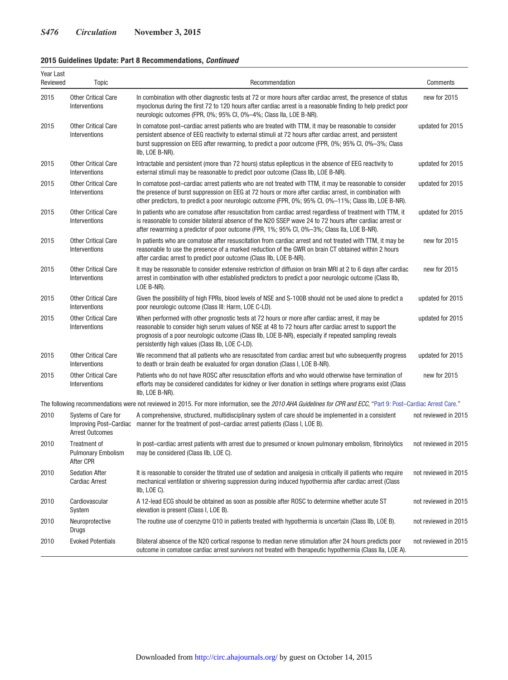# **2015 Guidelines Update: Part 8 Recommendations,** *Continued*

| Year Last<br>Reviewed | <b>Topic</b>                                                            | Recommendation                                                                                                                                                                                                                                                                                                                                                      | Comments             |
|-----------------------|-------------------------------------------------------------------------|---------------------------------------------------------------------------------------------------------------------------------------------------------------------------------------------------------------------------------------------------------------------------------------------------------------------------------------------------------------------|----------------------|
| 2015                  | <b>Other Critical Care</b><br>Interventions                             | In combination with other diagnostic tests at 72 or more hours after cardiac arrest, the presence of status<br>myoclonus during the first 72 to 120 hours after cardiac arrest is a reasonable finding to help predict poor<br>neurologic outcomes (FPR, 0%; 95% Cl, 0%-4%; Class IIa, LOE B-NR).                                                                   | new for 2015         |
| 2015                  | <b>Other Critical Care</b><br>Interventions                             | In comatose post-cardiac arrest patients who are treated with TTM, it may be reasonable to consider<br>persistent absence of EEG reactivity to external stimuli at 72 hours after cardiac arrest, and persistent<br>burst suppression on EEG after rewarming, to predict a poor outcome (FPR, 0%; 95% CI, 0%–3%; Class<br>IIb, LOE B-NR).                           | updated for 2015     |
| 2015                  | <b>Other Critical Care</b><br>Interventions                             | Intractable and persistent (more than 72 hours) status epilepticus in the absence of EEG reactivity to<br>external stimuli may be reasonable to predict poor outcome (Class IIb, LOE B-NR).                                                                                                                                                                         | updated for 2015     |
| 2015                  | <b>Other Critical Care</b><br>Interventions                             | In comatose post-cardiac arrest patients who are not treated with TTM, it may be reasonable to consider<br>the presence of burst suppression on EEG at 72 hours or more after cardiac arrest, in combination with<br>other predictors, to predict a poor neurologic outcome (FPR, 0%; 95% CI, 0%-11%; Class IIb, LOE B-NR).                                         | updated for 2015     |
| 2015                  | <b>Other Critical Care</b><br>Interventions                             | In patients who are comatose after resuscitation from cardiac arrest regardless of treatment with TTM, it<br>is reasonable to consider bilateral absence of the N20 SSEP wave 24 to 72 hours after cardiac arrest or<br>after rewarming a predictor of poor outcome (FPR, 1%; 95% Cl, 0%-3%; Class IIa, LOE B-NR).                                                  | updated for 2015     |
| 2015                  | <b>Other Critical Care</b><br>Interventions                             | In patients who are comatose after resuscitation from cardiac arrest and not treated with TTM, it may be<br>reasonable to use the presence of a marked reduction of the GWR on brain CT obtained within 2 hours<br>after cardiac arrest to predict poor outcome (Class IIb, LOE B-NR).                                                                              | new for 2015         |
| 2015                  | <b>Other Critical Care</b><br>Interventions                             | It may be reasonable to consider extensive restriction of diffusion on brain MRI at 2 to 6 days after cardiac<br>arrest in combination with other established predictors to predict a poor neurologic outcome (Class IIb,<br>LOE B-NR).                                                                                                                             | new for 2015         |
| 2015                  | <b>Other Critical Care</b><br>Interventions                             | Given the possibility of high FPRs, blood levels of NSE and S-100B should not be used alone to predict a<br>poor neurologic outcome (Class III: Harm, LOE C-LD).                                                                                                                                                                                                    | updated for 2015     |
| 2015                  | <b>Other Critical Care</b><br>Interventions                             | When performed with other prognostic tests at 72 hours or more after cardiac arrest, it may be<br>reasonable to consider high serum values of NSE at 48 to 72 hours after cardiac arrest to support the<br>prognosis of a poor neurologic outcome (Class IIb, LOE B-NR), especially if repeated sampling reveals<br>persistently high values (Class IIb, LOE C-LD). | updated for 2015     |
| 2015                  | <b>Other Critical Care</b><br>Interventions                             | We recommend that all patients who are resuscitated from cardiac arrest but who subsequently progress<br>to death or brain death be evaluated for organ donation (Class I, LOE B-NR).                                                                                                                                                                               | updated for 2015     |
| 2015                  | <b>Other Critical Care</b><br>Interventions                             | Patients who do not have ROSC after resuscitation efforts and who would otherwise have termination of<br>efforts may be considered candidates for kidney or liver donation in settings where programs exist (Class<br>IIb, LOE B-NR).                                                                                                                               | new for 2015         |
|                       |                                                                         | The following recommendations were not reviewed in 2015. For more information, see the 2010 AHA Guidelines for CPR and ECC, "Part 9: Post-Cardiac Arrest Care."                                                                                                                                                                                                     |                      |
| 2010                  | Systems of Care for<br>Improving Post-Cardiac<br><b>Arrest Outcomes</b> | A comprehensive, structured, multidisciplinary system of care should be implemented in a consistent<br>manner for the treatment of post-cardiac arrest patients (Class I, LOE B).                                                                                                                                                                                   | not reviewed in 2015 |
| 2010                  | Treatment of<br><b>Pulmonary Embolism</b><br>After CPR                  | In post-cardiac arrest patients with arrest due to presumed or known pulmonary embolism, fibrinolytics<br>may be considered (Class IIb, LOE C).                                                                                                                                                                                                                     | not reviewed in 2015 |
| 2010                  | <b>Sedation After</b><br><b>Cardiac Arrest</b>                          | It is reasonable to consider the titrated use of sedation and analgesia in critically ill patients who require<br>mechanical ventilation or shivering suppression during induced hypothermia after cardiac arrest (Class<br>IIb, LOE C).                                                                                                                            | not reviewed in 2015 |
| 2010                  | Cardiovascular<br>System                                                | A 12-lead ECG should be obtained as soon as possible after ROSC to determine whether acute ST<br>elevation is present (Class I, LOE B).                                                                                                                                                                                                                             | not reviewed in 2015 |
| 2010                  | Neuroprotective<br>Drugs                                                | The routine use of coenzyme Q10 in patients treated with hypothermia is uncertain (Class IIb, LOE B).                                                                                                                                                                                                                                                               | not reviewed in 2015 |
| 2010                  | <b>Evoked Potentials</b>                                                | Bilateral absence of the N20 cortical response to median nerve stimulation after 24 hours predicts poor<br>outcome in comatose cardiac arrest survivors not treated with therapeutic hypothermia (Class IIa, LOE A).                                                                                                                                                | not reviewed in 2015 |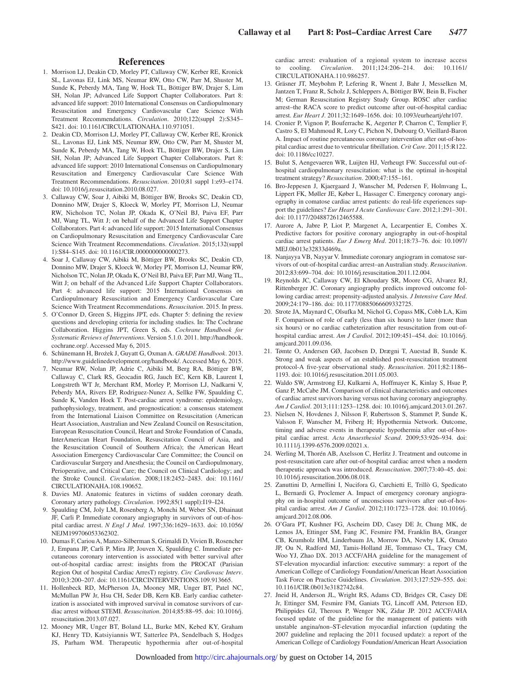### **References**

- 1. Morrison LJ, Deakin CD, Morley PT, Callaway CW, Kerber RE, Kronick SL, Lavonas EJ, Link MS, Neumar RW, Otto CW, Parr M, Shuster M, Sunde K, Peberdy MA, Tang W, Hoek TL, Böttiger BW, Drajer S, Lim SH, Nolan JP; Advanced Life Support Chapter Collaborators. Part 8: advanced life support: 2010 International Consensus on Cardiopulmonary Resuscitation and Emergency Cardiovascular Care Science With Treatment Recommendations. *Circulation*. 2010;122(suppl 2):S345– S421. doi: 10.1161/CIRCULATIONAHA.110.971051.
- 2. Deakin CD, Morrison LJ, Morley PT, Callaway CW, Kerber RE, Kronick SL, Lavonas EJ, Link MS, Neumar RW, Otto CW, Parr M, Shuster M, Sunde K, Peberdy MA, Tang W, Hoek TL, Böttiger BW, Drajer S, Lim SH, Nolan JP; Advanced Life Support Chapter Collaborators. Part 8: advanced life support: 2010 International Consensus on Cardiopulmonary Resuscitation and Emergency Cardiovascular Care Science With Treatment Recommendations. *Resuscitation*. 2010;81 suppl 1:e93–e174. doi: 10.1016/j.resuscitation.2010.08.027.
- 3. Callaway CW, Soar J, Aibiki M, Böttiger BW, Brooks SC, Deakin CD, Donnino MW, Drajer S, Kloeck W, Morley PT, Morrison LJ, Neumar RW, Nicholson TC, Nolan JP, Okada K, O'Neil BJ, Paiva EF, Parr MJ, Wang TL, Witt J; on behalf of the Advanced Life Support Chapter Collaborators. Part 4: advanced life support: 2015 International Consensus on Cardiopulmonary Resuscitation and Emergency Cardiovascular Care Science With Treatment Recommendations. *Circulation*. 2015;132(suppl 1):S84–S145. doi: 10.1161/CIR.0000000000000273.
- 4. Soar J, Callaway CW, Aibiki M, Böttiger BW, Brooks SC, Deakin CD, Donnino MW, Drajer S, Kloeck W, Morley PT, Morrison LJ, Neumar RW, Nicholson TC, Nolan JP, Okada K, O'Neil BJ, Paiva EF, Parr MJ, Wang TL, Witt J; on behalf of the Advanced Life Support Chapter Collaborators. Part 4: advanced life support: 2015 International Consensus on Cardiopulmonary Resuscitation and Emergency Cardiovascular Care Science With Treatment Recommendations. *Resuscitation*. 2015. In press.
- 5. O'Connor D, Green S, Higgins JPT, eds. Chapter 5: defining the review questions and developing criteria for including studies. In: The Cochrane Collaboration. Higgins JPT, Green S, eds. *Cochrane Handbook for Systematic Reviews of Interventions*. Version 5.1.0. 2011. [http://handbook.](http://www.handbook.cochrane.org/) [cochrane.org/](http://www.handbook.cochrane.org/). Accessed May 6, 2015.
- 6. Schünemann H, Brożek J, Guyatt G, Oxman A. *GRADE Handbook*. 2013. [http://www.guidelinedevelopment.org/handbook/.](http://www.guidelinedevelopment.org/handbook/) Accessed May 6, 2015.
- 7. Neumar RW, Nolan JP, Adrie C, Aibiki M, Berg RA, Böttiger BW, Callaway C, Clark RS, Geocadin RG, Jauch EC, Kern KB, Laurent I, Longstreth WT Jr, Merchant RM, Morley P, Morrison LJ, Nadkarni V, Peberdy MA, Rivers EP, Rodriguez-Nunez A, Sellke FW, Spaulding C, Sunde K, Vanden Hoek T. Post-cardiac arrest syndrome: epidemiology, pathophysiology, treatment, and prognostication: a consensus statement from the International Liaison Committee on Resuscitation (American Heart Association, Australian and New Zealand Council on Resuscitation, European Resuscitation Council, Heart and Stroke Foundation of Canada, InterAmerican Heart Foundation, Resuscitation Council of Asia, and the Resuscitation Council of Southern Africa); the American Heart Association Emergency Cardiovascular Care Committee; the Council on Cardiovascular Surgery and Anesthesia; the Council on Cardiopulmonary, Perioperative, and Critical Care; the Council on Clinical Cardiology; and the Stroke Council. *Circulation*. 2008;118:2452–2483. doi: 10.1161/ CIRCULATIONAHA.108.190652.
- Davies MJ. Anatomic features in victims of sudden coronary death. Coronary artery pathology. *Circulation*. 1992;85(1 suppl):I19–I24.
- 9. Spaulding CM, Joly LM, Rosenberg A, Monchi M, Weber SN, Dhainaut JF, Carli P. Immediate coronary angiography in survivors of out-of-hospital cardiac arrest. *N Engl J Med*. 1997;336:1629–1633. doi: 10.1056/ NEJM199706053362302.
- 10. Dumas F, Cariou A, Manzo-Silberman S, Grimaldi D, Vivien B, Rosencher J, Empana JP, Carli P, Mira JP, Jouven X, Spaulding C. Immediate percutaneous coronary intervention is associated with better survival after out-of-hospital cardiac arrest: insights from the PROCAT (Parisian Region Out of hospital Cardiac ArresT) registry. *Circ Cardiovasc Interv*. 2010;3:200–207. doi: 10.1161/CIRCINTERVENTIONS.109.913665.
- 11. Hollenbeck RD, McPherson JA, Mooney MR, Unger BT, Patel NC, McMullan PW Jr, Hsu CH, Seder DB, Kern KB. Early cardiac catheterization is associated with improved survival in comatose survivors of cardiac arrest without STEMI. *Resuscitation*. 2014;85:88–95. doi: 10.1016/j. resuscitation.2013.07.027.
- 12. Mooney MR, Unger BT, Boland LL, Burke MN, Kebed KY, Graham KJ, Henry TD, Katsiyiannis WT, Satterlee PA, Sendelbach S, Hodges JS, Parham WM. Therapeutic hypothermia after out-of-hospital

cardiac arrest: evaluation of a regional system to increase access to cooling. *Circulation*. 2011;124:206–214. doi: 10.1161/ CIRCULATIONAHA.110.986257.

- 13. Gräsner JT, Meybohm P, Lefering R, Wnent J, Bahr J, Messelken M, Jantzen T, Franz R, Scholz J, Schleppers A, Böttiger BW, Bein B, Fischer M; German Resuscitation Registry Study Group. ROSC after cardiac arrest–the RACA score to predict outcome after out-of-hospital cardiac arrest. *Eur Heart J*. 2011;32:1649–1656. doi: 10.1093/eurheartj/ehr107.
- 14. Cronier P, Vignon P, Bouferrache K, Aegerter P, Charron C, Templier F, Castro S, El Mahmoud R, Lory C, Pichon N, Dubourg O, Vieillard-Baron A. Impact of routine percutaneous coronary intervention after out-of-hospital cardiac arrest due to ventricular fibrillation. *Crit Care*. 2011;15:R122. doi: 10.1186/cc10227.
- 15. Bulut S, Aengevaeren WR, Luijten HJ, Verheugt FW. Successful out-ofhospital cardiopulmonary resuscitation: what is the optimal in-hospital treatment strategy? *Resuscitation*. 2000;47:155–161.
- 16. Bro-Jeppesen J, Kjaergaard J, Wanscher M, Pedersen F, Holmvang L, Lippert FK, Møller JE, Køber L, Hassager C. Emergency coronary angiography in comatose cardiac arrest patients: do real-life experiences support the guidelines? *Eur Heart J Acute Cardiovasc Care*. 2012;1:291–301. doi: 10.1177/2048872612465588.
- 17. Aurore A, Jabre P, Liot P, Margenet A, Lecarpentier E, Combes X. Predictive factors for positive coronary angiography in out-of-hospital cardiac arrest patients. *Eur J Emerg Med*. 2011;18:73–76. doi: 10.1097/ MEJ.0b013e32833d469a.
- 18. Nanjayya VB, Nayyar V. Immediate coronary angiogram in comatose survivors of out-of-hospital cardiac arrest–an Australian study. *Resuscitation*. 2012;83:699–704. doi: 10.1016/j.resuscitation.2011.12.004.
- 19. Reynolds JC, Callaway CW, El Khoudary SR, Moore CG, Alvarez RJ, Rittenberger JC. Coronary angiography predicts improved outcome following cardiac arrest: propensity-adjusted analysis. *J Intensive Care Med*. 2009;24:179–186. doi: 10.1177/0885066609332725.
- 20. Strote JA, Maynard C, Olsufka M, Nichol G, Copass MK, Cobb LA, Kim F. Comparison of role of early (less than six hours) to later (more than six hours) or no cardiac catheterization after resuscitation from out-ofhospital cardiac arrest. *Am J Cardiol*. 2012;109:451–454. doi: 10.1016/j. amjcard.2011.09.036.
- 21. Tømte O, Andersen GØ, Jacobsen D, Drægni T, Auestad B, Sunde K. Strong and weak aspects of an established post-resuscitation treatment protocol-A five-year observational study. *Resuscitation*. 2011;82:1186– 1193. doi: 10.1016/j.resuscitation.2011.05.003.
- 22. Waldo SW, Armstrong EJ, Kulkarni A, Hoffmayer K, Kinlay S, Hsue P, Ganz P, McCabe JM. Comparison of clinical characteristics and outcomes of cardiac arrest survivors having versus not having coronary angiography. *Am J Cardiol*. 2013;111:1253–1258. doi: 10.1016/j.amjcard.2013.01.267.
- 23. Nielsen N, Hovdenes J, Nilsson F, Rubertsson S, Stammet P, Sunde K, Valsson F, Wanscher M, Friberg H; Hypothermia Network. Outcome, timing and adverse events in therapeutic hypothermia after out-of-hospital cardiac arrest. *Acta Anaesthesiol Scand*. 2009;53:926–934. doi: 10.1111/j.1399-6576.2009.02021.x.
- 24. Werling M, Thorén AB, Axelsson C, Herlitz J. Treatment and outcome in post-resuscitation care after out-of-hospital cardiac arrest when a modern therapeutic approach was introduced. *Resuscitation*. 2007;73:40–45. doi: 10.1016/j.resuscitation.2006.08.018.
- 25. Zanuttini D, Armellini I, Nucifora G, Carchietti E, Trillò G, Spedicato L, Bernardi G, Proclemer A. Impact of emergency coronary angiography on in-hospital outcome of unconscious survivors after out-of-hospital cardiac arrest. *Am J Cardiol*. 2012;110:1723–1728. doi: 10.1016/j. amjcard.2012.08.006.
- 26. O'Gara PT, Kushner FG, Ascheim DD, Casey DE Jr, Chung MK, de Lemos JA, Ettinger SM, Fang JC, Fesmire FM, Franklin BA, Granger CB, Krumholz HM, Linderbaum JA, Morrow DA, Newby LK, Ornato JP, Ou N, Radford MJ, Tamis-Holland JE, Tommaso CL, Tracy CM, Woo YJ, Zhao DX. 2013 ACCF/AHA guideline for the management of ST-elevation myocardial infarction: executive summary: a report of the American College of Cardiology Foundation/American Heart Association Task Force on Practice Guidelines. *Circulation*. 2013;127:529–555. doi: 10.1161/CIR.0b013e3182742c84.
- 27. Jneid H, Anderson JL, Wright RS, Adams CD, Bridges CR, Casey DE Jr, Ettinger SM, Fesmire FM, Ganiats TG, Lincoff AM, Peterson ED, Philippides GJ, Theroux P, Wenger NK, Zidar JP. 2012 ACCF/AHA focused update of the guideline for the management of patients with unstable angina/non–ST-elevation myocardial infarction (updating the 2007 guideline and replacing the 2011 focused update): a report of the American College of Cardiology Foundation/American Heart Association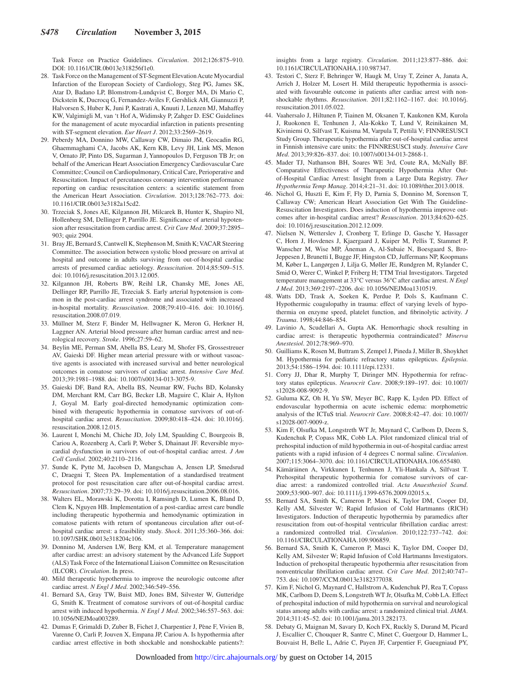Task Force on Practice Guidelines. *Circulation*. 2012;126:875–910. DOI: 10.1161/CIR.0b013e318256f1e0.

- 28. Task Force on the Management of ST-Segment Elevation Acute Myocardial Infarction of the European Society of Cardiology, Steg PG, James SK, Atar D, Badano LP, Blomstrom-Lundqvist C, Borger MA, Di Mario C, Dickstein K, Ducrocq G, Fernandez-Aviles F, Gershlick AH, Giannuzzi P, Halvorsen S, Huber K, Juni P, Kastrati A, Knuuti J, Lenzen MJ, Mahaffey KW, Valgimigli M, van 't Hof A, Widimsky P, Zahger D. ESC Guidelines for the management of acute myocardial infarction in patients presenting with ST-segment elevation. *Eur Heart J*. 2012;33:2569–2619.
- 29. Peberdy MA, Donnino MW, Callaway CW, Dimaio JM, Geocadin RG, Ghaemmaghami CA, Jacobs AK, Kern KB, Levy JH, Link MS, Menon V, Ornato JP, Pinto DS, Sugarman J, Yannopoulos D, Ferguson TB Jr; on behalf of the American Heart Association Emergency Cardiovascular Care Committee; Council on Cardiopulmonary, Critical Care, Perioperative and Resuscitation. Impact of percutaneous coronary intervention performance reporting on cardiac resuscitation centers: a scientific statement from the American Heart Association. *Circulation*. 2013;128:762–773. doi: 10.1161/CIR.0b013e3182a15cd2.
- 30. Trzeciak S, Jones AE, Kilgannon JH, Milcarek B, Hunter K, Shapiro NI, Hollenberg SM, Dellinger P, Parrillo JE. Significance of arterial hypotension after resuscitation from cardiac arrest. *Crit Care Med*. 2009;37:2895– 903; quiz 2904.
- 31. Bray JE, Bernard S, Cantwell K, Stephenson M, Smith K; VACAR Steering Committee. The association between systolic blood pressure on arrival at hospital and outcome in adults surviving from out-of-hospital cardiac arrests of presumed cardiac aetiology. *Resuscitation*. 2014;85:509–515. doi: 10.1016/j.resuscitation.2013.12.005.
- 32. Kilgannon JH, Roberts BW, Reihl LR, Chansky ME, Jones AE, Dellinger RP, Parrillo JE, Trzeciak S. Early arterial hypotension is common in the post-cardiac arrest syndrome and associated with increased in-hospital mortality. *Resuscitation*. 2008;79:410–416. doi: 10.1016/j. resuscitation.2008.07.019.
- 33. Müllner M, Sterz F, Binder M, Hellwagner K, Meron G, Herkner H, Laggner AN. Arterial blood pressure after human cardiac arrest and neurological recovery. *Stroke*. 1996;27:59–62.
- 34. Beylin ME, Perman SM, Abella BS, Leary M, Shofer FS, Grossestreuer AV, Gaieski DF. Higher mean arterial pressure with or without vasoactive agents is associated with increased survival and better neurological outcomes in comatose survivors of cardiac arrest. *Intensive Care Med*. 2013;39:1981–1988. doi: 10.1007/s00134-013-3075-9.
- 35. Gaieski DF, Band RA, Abella BS, Neumar RW, Fuchs BD, Kolansky DM, Merchant RM, Carr BG, Becker LB, Maguire C, Klair A, Hylton J, Goyal M. Early goal-directed hemodynamic optimization combined with therapeutic hypothermia in comatose survivors of out-ofhospital cardiac arrest. *Resuscitation*. 2009;80:418–424. doi: 10.1016/j. resuscitation.2008.12.015.
- 36. Laurent I, Monchi M, Chiche JD, Joly LM, Spaulding C, Bourgeois B, Cariou A, Rozenberg A, Carli P, Weber S, Dhainaut JF. Reversible myocardial dysfunction in survivors of out-of-hospital cardiac arrest. *J Am Coll Cardiol*. 2002;40:2110–2116.
- 37. Sunde K, Pytte M, Jacobsen D, Mangschau A, Jensen LP, Smedsrud C, Draegni T, Steen PA. Implementation of a standardised treatment protocol for post resuscitation care after out-of-hospital cardiac arrest. *Resuscitation*. 2007;73:29–39. doi: 10.1016/j.resuscitation.2006.08.016.
- 38. Walters EL, Morawski K, Dorotta I, Ramsingh D, Lumen K, Bland D, Clem K, Nguyen HB. Implementation of a post-cardiac arrest care bundle including therapeutic hypothermia and hemodynamic optimization in comatose patients with return of spontaneous circulation after out-ofhospital cardiac arrest: a feasibility study. *Shock*. 2011;35:360–366. doi: 10.1097/SHK.0b013e318204c106.
- 39. Donnino M, Andersen LW, Berg KM, et al. Temperature management after cardiac arrest: an advisory statement by the Advanced Life Support (ALS) Task Force of the International Liaison Committee on Resuscitation (ILCOR). *Circulation*. In press.
- 40. Mild therapeutic hypothermia to improve the neurologic outcome after cardiac arrest. *N Engl J Med*. 2002;346:549–556.
- 41. Bernard SA, Gray TW, Buist MD, Jones BM, Silvester W, Gutteridge G, Smith K. Treatment of comatose survivors of out-of-hospital cardiac arrest with induced hypothermia. *N Engl J Med*. 2002;346:557–563. doi: 10.1056/NEJMoa003289.
- 42. Dumas F, Grimaldi D, Zuber B, Fichet J, Charpentier J, Pène F, Vivien B, Varenne O, Carli P, Jouven X, Empana JP, Cariou A. Is hypothermia after cardiac arrest effective in both shockable and nonshockable patients?:

insights from a large registry. *Circulation*. 2011;123:877–886. doi: 10.1161/CIRCULATIONAHA.110.987347.

- 43. Testori C, Sterz F, Behringer W, Haugk M, Uray T, Zeiner A, Janata A, Arrich J, Holzer M, Losert H. Mild therapeutic hypothermia is associated with favourable outcome in patients after cardiac arrest with nonshockable rhythms. *Resuscitation*. 2011;82:1162–1167. doi: 10.1016/j. resuscitation.2011.05.022.
- 44. Vaahersalo J, Hiltunen P, Tiainen M, Oksanen T, Kaukonen KM, Kurola J, Ruokonen E, Tenhunen J, Ala-Kokko T, Lund V, Reinikainen M, Kiviniemi O, Silfvast T, Kuisma M, Varpula T, Pettilä V; FINNRESUSCI Study Group. Therapeutic hypothermia after out-of-hospital cardiac arrest in Finnish intensive care units: the FINNRESUSCI study. *Intensive Care Med*. 2013;39:826–837. doi: 10.1007/s00134-013-2868-1.
- 45. Mader TJ, Nathanson BH, Soares WE 3rd, Coute RA, McNally BF. Comparative Effectiveness of Therapeutic Hypothermia After Outof-Hospital Cardiac Arrest: Insight from a Large Data Registry. *Ther Hypothermia Temp Manag*. 2014;4:21–31. doi: 10.1089/ther.2013.0018.
- 46. Nichol G, Huszti E, Kim F, Fly D, Parnia S, Donnino M, Sorenson T, Callaway CW; American Heart Association Get With The Guideline-Resuscitation Investigators. Does induction of hypothermia improve outcomes after in-hospital cardiac arrest? *Resuscitation*. 2013;84:620–625. doi: 10.1016/j.resuscitation.2012.12.009.
- 47. Nielsen N, Wetterslev J, Cronberg T, Erlinge D, Gasche Y, Hassager C, Horn J, Hovdenes J, Kjaergaard J, Kuiper M, Pellis T, Stammet P, Wanscher M, Wise MP, Åneman A, Al-Subaie N, Boesgaard S, Bro-Jeppesen J, Brunetti I, Bugge JF, Hingston CD, Juffermans NP, Koopmans M, Køber L, Langørgen J, Lilja G, Møller JE, Rundgren M, Rylander C, Smid O, Werer C, Winkel P, Friberg H; TTM Trial Investigators. Targeted temperature management at 33°C versus 36°C after cardiac arrest. *N Engl J Med*. 2013;369:2197–2206. doi: 10.1056/NEJMoa1310519.
- 48. Watts DD, Trask A, Soeken K, Perdue P, Dols S, Kaufmann C. Hypothermic coagulopathy in trauma: effect of varying levels of hypothermia on enzyme speed, platelet function, and fibrinolytic activity. *J Trauma*. 1998;44:846–854.
- 49. Lavinio A, Scudellari A, Gupta AK. Hemorrhagic shock resulting in cardiac arrest: is therapeutic hypothermia contraindicated? *Minerva Anestesiol*. 2012;78:969–970.
- 50. Guilliams K, Rosen M, Buttram S, Zempel J, Pineda J, Miller B, Shoykhet M. Hypothermia for pediatric refractory status epilepticus. *Epilepsia*. 2013;54:1586–1594. doi: 10.1111/epi.12331.
- 51. Corry JJ, Dhar R, Murphy T, Diringer MN. Hypothermia for refractory status epilepticus. *Neurocrit Care*. 2008;9:189–197. doi: 10.1007/ s12028-008-9092-9.
- 52. Guluma KZ, Oh H, Yu SW, Meyer BC, Rapp K, Lyden PD. Effect of endovascular hypothermia on acute ischemic edema: morphometric analysis of the ICTuS trial. *Neurocrit Care*. 2008;8:42–47. doi: 10.1007/ s12028-007-9009-z.
- 53. Kim F, Olsufka M, Longstreth WT Jr, Maynard C, Carlbom D, Deem S, Kudenchuk P, Copass MK, Cobb LA. Pilot randomized clinical trial of prehospital induction of mild hypothermia in out-of-hospital cardiac arrest patients with a rapid infusion of 4 degrees C normal saline. *Circulation*. 2007;115:3064–3070. doi: 10.1161/CIRCULATIONAHA.106.655480.
- 54. Kämäräinen A, Virkkunen I, Tenhunen J, Yli-Hankala A, Silfvast T. Prehospital therapeutic hypothermia for comatose survivors of cardiac arrest: a randomized controlled trial. *Acta Anaesthesiol Scand*. 2009;53:900–907. doi: 10.1111/j.1399-6576.2009.02015.x.
- 55. Bernard SA, Smith K, Cameron P, Masci K, Taylor DM, Cooper DJ, Kelly AM, Silvester W; Rapid Infusion of Cold Hartmanns (RICH) Investigators. Induction of therapeutic hypothermia by paramedics after resuscitation from out-of-hospital ventricular fibrillation cardiac arrest: a randomized controlled trial. *Circulation*. 2010;122:737–742. doi: 10.1161/CIRCULATIONAHA.109.906859.
- 56. Bernard SA, Smith K, Cameron P, Masci K, Taylor DM, Cooper DJ, Kelly AM, Silvester W; Rapid Infusion of Cold Hartmanns Investigators. Induction of prehospital therapeutic hypothermia after resuscitation from nonventricular fibrillation cardiac arrest. *Crit Care Med*. 2012;40:747– 753. doi: 10.1097/CCM.0b013e3182377038.
- 57. Kim F, Nichol G, Maynard C, Hallstrom A, Kudenchuk PJ, Rea T, Copass MK, Carlbom D, Deem S, Longstreth WT Jr, Olsufka M, Cobb LA. Effect of prehospital induction of mild hypothermia on survival and neurological status among adults with cardiac arrest: a randomized clinical trial. *JAMA*. 2014;311:45–52. doi: 10.1001/jama.2013.282173.
- 58. Debaty G, Maignan M, Savary D, Koch FX, Ruckly S, Durand M, Picard J, Escallier C, Chouquer R, Santre C, Minet C, Guergour D, Hammer L, Bouvaist H, Belle L, Adrie C, Payen JF, Carpentier F, Gueugniaud PY,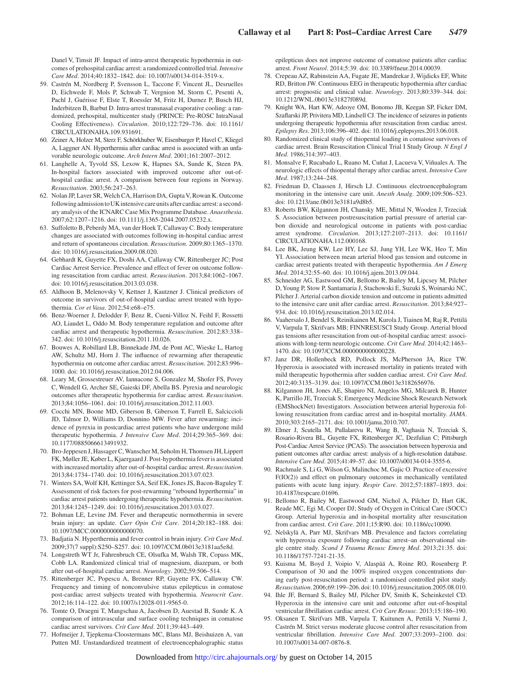Danel V, Timsit JF. Impact of intra-arrest therapeutic hypothermia in outcomes of prehospital cardiac arrest: a randomized controlled trial. *Intensive Care Med*. 2014;40:1832–1842. doi: 10.1007/s00134-014-3519-x.

- 59. Castrén M, Nordberg P, Svensson L, Taccone F, Vincent JL, Desruelles D, Eichwede F, Mols P, Schwab T, Vergnion M, Storm C, Pesenti A, Pachl J, Guérisse F, Elste T, Roessler M, Fritz H, Durnez P, Busch HJ, Inderbitzen B, Barbut D. Intra-arrest transnasal evaporative cooling: a randomized, prehospital, multicenter study (PRINCE: Pre-ROSC IntraNasal Cooling Effectiveness). *Circulation*. 2010;122:729–736. doi: 10.1161/ CIRCULATIONAHA.109.931691.
- 60. Zeiner A, Holzer M, Sterz F, Schörkhuber W, Eisenburger P, Havel C, Kliegel A, Laggner AN. Hyperthermia after cardiac arrest is associated with an unfavorable neurologic outcome. *Arch Intern Med*. 2001;161:2007–2012.
- 61. Langhelle A, Tyvold SS, Lexow K, Hapnes SA, Sunde K, Steen PA. In-hospital factors associated with improved outcome after out-ofhospital cardiac arrest. A comparison between four regions in Norway. *Resuscitation*. 2003;56:247–263.
- 62. Nolan JP, Laver SR, Welch CA, Harrison DA, Gupta V, Rowan K. Outcome following admission to UK intensive care units after cardiac arrest: a secondary analysis of the ICNARC Case Mix Programme Database. *Anaesthesia*. 2007;62:1207–1216. doi: 10.1111/j.1365-2044.2007.05232.x.
- 63. Suffoletto B, Peberdy MA, van der Hoek T, Callaway C. Body temperature changes are associated with outcomes following in-hospital cardiac arrest and return of spontaneous circulation. *Resuscitation*. 2009;80:1365–1370. doi: 10.1016/j.resuscitation.2009.08.020.
- 64. Gebhardt K, Guyette FX, Doshi AA, Callaway CW, Rittenberger JC; Post Cardiac Arrest Service. Prevalence and effect of fever on outcome following resuscitation from cardiac arrest. *Resuscitation*. 2013;84:1062–1067. doi: 10.1016/j.resuscitation.2013.03.038.
- 65. Aldhoon B, Melenovsky V, Kettner J, Kautzner J. Clinical predictors of outcome in survivors of out-of-hospital cardiac arrest treated with hypothermia. *Cor et Vasa*. 2012;54:e68–e75.
- 66. Benz-Woerner J, Delodder F, Benz R, Cueni-Villoz N, Feihl F, Rossetti AO, Liaudet L, Oddo M. Body temperature regulation and outcome after cardiac arrest and therapeutic hypothermia. *Resuscitation*. 2012;83:338– 342. doi: 10.1016/j.resuscitation.2011.10.026.
- 67. Bouwes A, Robillard LB, Binnekade JM, de Pont AC, Wieske L, Hartog AW, Schultz MJ, Horn J. The influence of rewarming after therapeutic hypothermia on outcome after cardiac arrest. *Resuscitation*. 2012;83:996– 1000. doi: 10.1016/j.resuscitation.2012.04.006.
- 68. Leary M, Grossestreuer AV, Iannacone S, Gonzalez M, Shofer FS, Povey C, Wendell G, Archer SE, Gaieski DF, Abella BS. Pyrexia and neurologic outcomes after therapeutic hypothermia for cardiac arrest. *Resuscitation*. 2013;84:1056–1061. doi: 10.1016/j.resuscitation.2012.11.003.
- 69. Cocchi MN, Boone MD, Giberson B, Giberson T, Farrell E, Salciccioli JD, Talmor D, Williams D, Donnino MW. Fever after rewarming: incidence of pyrexia in postcardiac arrest patients who have undergone mild therapeutic hypothermia. *J Intensive Care Med*. 2014;29:365–369. doi: 10.1177/0885066613491932.
- 70. Bro-Jeppesen J, Hassager C, Wanscher M, Søholm H, Thomsen JH, Lippert FK, Møller JE, Køber L, Kjaergaard J. Post-hypothermia fever is associated with increased mortality after out-of-hospital cardiac arrest. *Resuscitation*. 2013;84:1734–1740. doi: 10.1016/j.resuscitation.2013.07.023.
- 71. Winters SA, Wolf KH, Kettinger SA, Seif EK, Jones JS, Bacon-Baguley T. Assessment of risk factors for post-rewarming "rebound hyperthermia" in cardiac arrest patients undergoing therapeutic hypothermia. *Resuscitation*. 2013;84:1245–1249. doi: 10.1016/j.resuscitation.2013.03.027.
- 72. Bohman LE, Levine JM. Fever and therapeutic normothermia in severe brain injury: an update. *Curr Opin Crit Care*. 2014;20:182–188. doi: 10.1097/MCC.0000000000000070.
- 73. Badjatia N. Hyperthermia and fever control in brain injury. *Crit Care Med*. 2009;37(7 suppl):S250–S257. doi: 10.1097/CCM.0b013e3181aa5e8d.
- 74. Longstreth WT Jr, Fahrenbruch CE, Olsufka M, Walsh TR, Copass MK, Cobb LA. Randomized clinical trial of magnesium, diazepam, or both after out-of-hospital cardiac arrest. *Neurology*. 2002;59:506–514.
- 75. Rittenberger JC, Popescu A, Brenner RP, Guyette FX, Callaway CW. Frequency and timing of nonconvulsive status epilepticus in comatose post-cardiac arrest subjects treated with hypothermia. *Neurocrit Care*. 2012;16:114–122. doi: 10.1007/s12028-011-9565-0.
- 76. Tomte O, Draegni T, Mangschau A, Jacobsen D, Auestad B, Sunde K. A comparison of intravascular and surface cooling techniques in comatose cardiac arrest survivors. *Crit Care Med*. 2011;39:443–449.
- 77. Hofmeijer J, Tjepkema-Cloostermans MC, Blans MJ, Beishuizen A, van Putten MJ. Unstandardized treatment of electroencephalographic status

epilepticus does not improve outcome of comatose patients after cardiac arrest. *Front Neurol*. 2014;5:39. doi: 10.3389/fneur.2014.00039.

- 78. Crepeau AZ, Rabinstein AA, Fugate JE, Mandrekar J, Wijdicks EF, White RD, Britton JW. Continuous EEG in therapeutic hypothermia after cardiac arrest: prognostic and clinical value. *Neurology*. 2013;80:339–344. doi: 10.1212/WNL.0b013e31827f089d.
- 79. Knight WA, Hart KW, Adeoye OM, Bonomo JB, Keegan SP, Ficker DM, Szaflarski JP, Privitera MD, Lindsell CJ. The incidence of seizures in patients undergoing therapeutic hypothermia after resuscitation from cardiac arrest. *Epilepsy Res*. 2013;106:396–402. doi: 10.1016/j.eplepsyres.2013.06.018.
- 80. Randomized clinical study of thiopental loading in comatose survivors of cardiac arrest. Brain Resuscitation Clinical Trial I Study Group. *N Engl J Med*. 1986;314:397–403.
- 81. Monsalve F, Rucabado L, Ruano M, Cuñat J, Lacueva V, Viñuales A. The neurologic effects of thiopental therapy after cardiac arrest. *Intensive Care Med*. 1987;13:244–248.
- 82. Friedman D, Claassen J, Hirsch LJ. Continuous electroencephalogram monitoring in the intensive care unit. *Anesth Analg*. 2009;109:506–523. doi: 10.1213/ane.0b013e3181a9d8b5.
- 83. Roberts BW, Kilgannon JH, Chansky ME, Mittal N, Wooden J, Trzeciak S. Association between postresuscitation partial pressure of arterial carbon dioxide and neurological outcome in patients with post-cardiac arrest syndrome. *Circulation*. 2013;127:2107–2113. doi: 10.1161/ CIRCULATIONAHA.112.000168.
- 84. Lee BK, Jeung KW, Lee HY, Lee SJ, Jung YH, Lee WK, Heo T, Min YI. Association between mean arterial blood gas tension and outcome in cardiac arrest patients treated with therapeutic hypothermia. *Am J Emerg Med*. 2014;32:55–60. doi: 10.1016/j.ajem.2013.09.044.
- 85. Schneider AG, Eastwood GM, Bellomo R, Bailey M, Lipcsey M, Pilcher D, Young P, Stow P, Santamaria J, Stachowski E, Suzuki S, Woinarski NC, Pilcher J. Arterial carbon dioxide tension and outcome in patients admitted to the intensive care unit after cardiac arrest. *Resuscitation*. 2013;84:927– 934. doi: 10.1016/j.resuscitation.2013.02.014.
- 86. Vaahersalo J, Bendel S, Reinikainen M, Kurola J, Tiainen M, Raj R, Pettilä V, Varpula T, Skrifvars MB; FINNRESUSCI Study Group. Arterial blood gas tensions after resuscitation from out-of-hospital cardiac arrest: associations with long-term neurologic outcome. *Crit Care Med*. 2014;42:1463– 1470. doi: 10.1097/CCM.0000000000000228.
- 87. Janz DR, Hollenbeck RD, Pollock JS, McPherson JA, Rice TW. Hyperoxia is associated with increased mortality in patients treated with mild therapeutic hypothermia after sudden cardiac arrest. *Crit Care Med*. 2012;40:3135–3139. doi: 10.1097/CCM.0b013e3182656976.
- 88. Kilgannon JH, Jones AE, Shapiro NI, Angelos MG, Milcarek B, Hunter K, Parrillo JE, Trzeciak S; Emergency Medicine Shock Research Network (EMShockNet) Investigators. Association between arterial hyperoxia following resuscitation from cardiac arrest and in-hospital mortality. *JAMA*. 2010;303:2165–2171. doi: 10.1001/jama.2010.707.
- 89. Elmer J, Scutella M, Pullalarevu R, Wang B, Vaghasia N, Trzeciak S, Rosario-Rivera BL, Guyette FX, Rittenberger JC, Dezfulian C; Pittsburgh Post-Cardiac Arrest Service (PCAS). The association between hyperoxia and patient outcomes after cardiac arrest: analysis of a high-resolution database. *Intensive Care Med*. 2015;41:49–57. doi: 10.1007/s00134-014-3555-6.
- 90. Rachmale S, Li G, Wilson G, Malinchoc M, Gajic O. Practice of excessive F(IO(2)) and effect on pulmonary outcomes in mechanically ventilated patients with acute lung injury. *Respir Care*. 2012;57:1887–1893. doi: 10.4187/respcare.01696.
- 91. Bellomo R, Bailey M, Eastwood GM, Nichol A, Pilcher D, Hart GK, Reade MC, Egi M, Cooper DJ; Study of Oxygen in Critical Care (SOCC) Group. Arterial hyperoxia and in-hospital mortality after resuscitation from cardiac arrest. *Crit Care*. 2011;15:R90. doi: 10.1186/cc10090.
- 92. Nelskylä A, Parr MJ, Skrifvars MB. Prevalence and factors correlating with hyperoxia exposure following cardiac arrest–an observational single centre study. *Scand J Trauma Resusc Emerg Med*. 2013;21:35. doi: 10.1186/1757-7241-21-35.
- 93. Kuisma M, Boyd J, Voipio V, Alaspää A, Roine RO, Rosenberg P. Comparison of 30 and the 100% inspired oxygen concentrations during early post-resuscitation period: a randomised controlled pilot study. *Resuscitation*. 2006;69:199–206. doi: 10.1016/j.resuscitation.2005.08.010.
- 94. Ihle JF, Bernard S, Bailey MJ, Pilcher DV, Smith K, Scheinkestel CD. Hyperoxia in the intensive care unit and outcome after out-of-hospital ventricular fibrillation cardiac arrest. *Crit Care Resusc*. 2013;15:186–190.
- 95. Oksanen T, Skrifvars MB, Varpula T, Kuitunen A, Pettilä V, Nurmi J, Castrén M. Strict versus moderate glucose control after resuscitation from ventricular fibrillation. *Intensive Care Med*. 2007;33:2093–2100. doi: 10.1007/s00134-007-0876-8.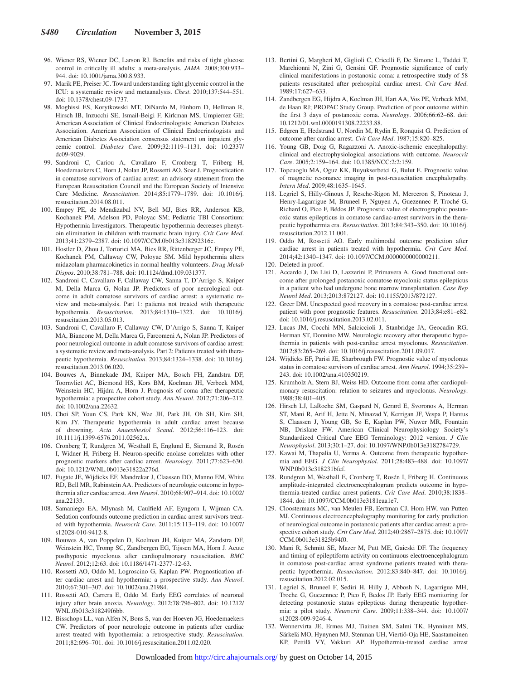- 96. Wiener RS, Wiener DC, Larson RJ. Benefits and risks of tight glucose control in critically ill adults: a meta-analysis. *JAMA*. 2008;300:933– 944. doi: 10.1001/jama.300.8.933.
- 97. Marik PE, Preiser JC. Toward understanding tight glycemic control in the ICU: a systematic review and metaanalysis. *Chest*. 2010;137:544–551. doi: 10.1378/chest.09-1737.
- 98. Moghissi ES, Korytkowski MT, DiNardo M, Einhorn D, Hellman R, Hirsch IB, Inzucchi SE, Ismail-Beigi F, Kirkman MS, Umpierrez GE; American Association of Clinical Endocrinologists; American Diabetes Association. American Association of Clinical Endocrinologists and American Diabetes Association consensus statement on inpatient glycemic control. *Diabetes Care*. 2009;32:1119–1131. doi: 10.2337/ dc09-9029.
- 99. Sandroni C, Cariou A, Cavallaro F, Cronberg T, Friberg H, Hoedemaekers C, Horn J, Nolan JP, Rossetti AO, Soar J. Prognostication in comatose survivors of cardiac arrest: an advisory statement from the European Resuscitation Council and the European Society of Intensive Care Medicine. *Resuscitation*. 2014;85:1779–1789. doi: 10.1016/j. resuscitation.2014.08.011.
- 100. Empey PE, de Mendizabal NV, Bell MJ, Bies RR, Anderson KB, Kochanek PM, Adelson PD, Poloyac SM; Pediatric TBI Consortium: Hypothermia Investigators. Therapeutic hypothermia decreases phenytoin elimination in children with traumatic brain injury. *Crit Care Med*. 2013;41:2379–2387. doi: 10.1097/CCM.0b013e318292316c.
- 101. Hostler D, Zhou J, Tortorici MA, Bies RR, Rittenberger JC, Empey PE, Kochanek PM, Callaway CW, Poloyac SM. Mild hypothermia alters midazolam pharmacokinetics in normal healthy volunteers. *Drug Metab Dispos*. 2010;38:781–788. doi: 10.1124/dmd.109.031377.
- 102. Sandroni C, Cavallaro F, Callaway CW, Sanna T, D'Arrigo S, Kuiper M, Della Marca G, Nolan JP. Predictors of poor neurological outcome in adult comatose survivors of cardiac arrest: a systematic review and meta-analysis. Part 1: patients not treated with therapeutic hypothermia. *Resuscitation*. 2013;84:1310–1323. doi: 10.1016/j. resuscitation.2013.05.013.
- 103. Sandroni C, Cavallaro F, Callaway CW, D'Arrigo S, Sanna T, Kuiper MA, Biancone M, Della Marca G, Farcomeni A, Nolan JP. Predictors of poor neurological outcome in adult comatose survivors of cardiac arrest: a systematic review and meta-analysis. Part 2: Patients treated with therapeutic hypothermia. *Resuscitation*. 2013;84:1324–1338. doi: 10.1016/j. resuscitation.2013.06.020.
- 104. Bouwes A, Binnekade JM, Kuiper MA, Bosch FH, Zandstra DF, Toornvliet AC, Biemond HS, Kors BM, Koelman JH, Verbeek MM, Weinstein HC, Hijdra A, Horn J. Prognosis of coma after therapeutic hypothermia: a prospective cohort study. *Ann Neurol*. 2012;71:206–212. doi: 10.1002/ana.22632.
- 105. Choi SP, Youn CS, Park KN, Wee JH, Park JH, Oh SH, Kim SH, Kim JY. Therapeutic hypothermia in adult cardiac arrest because of drowning. *Acta Anaesthesiol Scand*. 2012;56:116–123. doi: 10.1111/j.1399-6576.2011.02562.x.
- 106. Cronberg T, Rundgren M, Westhall E, Englund E, Siemund R, Rosén I, Widner H, Friberg H. Neuron-specific enolase correlates with other prognostic markers after cardiac arrest. *Neurology*. 2011;77:623–630. doi: 10.1212/WNL.0b013e31822a276d.
- 107. Fugate JE, Wijdicks EF, Mandrekar J, Claassen DO, Manno EM, White RD, Bell MR, Rabinstein AA. Predictors of neurologic outcome in hypothermia after cardiac arrest. *Ann Neurol*. 2010;68:907–914. doi: 10.1002/ ana.22133.
- 108. Samaniego EA, Mlynash M, Caulfield AF, Eyngorn I, Wijman CA. Sedation confounds outcome prediction in cardiac arrest survivors treated with hypothermia. *Neurocrit Care*. 2011;15:113–119. doi: 10.1007/ s12028-010-9412-8.
- 109. Bouwes A, van Poppelen D, Koelman JH, Kuiper MA, Zandstra DF, Weinstein HC, Tromp SC, Zandbergen EG, Tijssen MA, Horn J. Acute posthypoxic myoclonus after cardiopulmonary resuscitation. *BMC Neurol*. 2012;12:63. doi: 10.1186/1471-2377-12-63.
- 110. Rossetti AO, Oddo M, Logroscino G, Kaplan PW. Prognostication after cardiac arrest and hypothermia: a prospective study. *Ann Neurol*. 2010;67:301–307. doi: 10.1002/ana.21984.
- 111. Rossetti AO, Carrera E, Oddo M. Early EEG correlates of neuronal injury after brain anoxia. *Neurology*. 2012;78:796–802. doi: 10.1212/ WNL.0b013e318249f6bb.
- 112. Bisschops LL, van Alfen N, Bons S, van der Hoeven JG, Hoedemaekers CW. Predictors of poor neurologic outcome in patients after cardiac arrest treated with hypothermia: a retrospective study. *Resuscitation*. 2011;82:696–701. doi: 10.1016/j.resuscitation.2011.02.020.
- 113. Bertini G, Margheri M, Giglioli C, Cricelli F, De Simone L, Taddei T, Marchionni N, Zini G, Gensini GF. Prognostic significance of early clinical manifestations in postanoxic coma: a retrospective study of 58 patients resuscitated after prehospital cardiac arrest. *Crit Care Med*. 1989;17:627–633.
- 114. Zandbergen EG, Hijdra A, Koelman JH, Hart AA, Vos PE, Verbeek MM, de Haan RJ; PROPAC Study Group. Prediction of poor outcome within the first 3 days of postanoxic coma. *Neurology*. 2006;66:62–68. doi: 10.1212/01.wnl.0000191308.22233.88.
- 115. Edgren E, Hedstrand U, Nordin M, Rydin E, Ronquist G. Prediction of outcome after cardiac arrest. *Crit Care Med*. 1987;15:820–825.
- 116. Young GB, Doig G, Ragazzoni A. Anoxic-ischemic encephalopathy: clinical and electrophysiological associations with outcome. *Neurocrit Care*. 2005;2:159–164. doi: 10.1385/NCC:2:2:159.
- 117. Topcuoglu MA, Oguz KK, Buyukserbetci G, Bulut E. Prognostic value of magnetic resonance imaging in post-resuscitation encephalopathy. *Intern Med*. 2009;48:1635–1645.
- 118. Legriel S, Hilly-Ginoux J, Resche-Rigon M, Merceron S, Pinoteau J, Henry-Lagarrigue M, Bruneel F, Nguyen A, Guezennec P, Troché G, Richard O, Pico F, Bédos JP. Prognostic value of electrographic postanoxic status epilepticus in comatose cardiac-arrest survivors in the therapeutic hypothermia era. *Resuscitation*. 2013;84:343–350. doi: 10.1016/j. resuscitation.2012.11.001.
- 119. Oddo M, Rossetti AO. Early multimodal outcome prediction after cardiac arrest in patients treated with hypothermia. *Crit Care Med*. 2014;42:1340–1347. doi: 10.1097/CCM.0000000000000211.
- 120. Deleted in proof.
- 121. Accardo J, De Lisi D, Lazzerini P, Primavera A. Good functional outcome after prolonged postanoxic comatose myoclonic status epilepticus in a patient who had undergone bone marrow transplantation. *Case Rep Neurol Med*. 2013;2013:872127. doi: 10.1155/2013/872127.
- 122. Greer DM. Unexpected good recovery in a comatose post-cardiac arrest patient with poor prognostic features. *Resuscitation*. 2013;84:e81–e82. doi: 10.1016/j.resuscitation.2013.02.011.
- 123. Lucas JM, Cocchi MN, Salciccioli J, Stanbridge JA, Geocadin RG, Herman ST, Donnino MW. Neurologic recovery after therapeutic hypothermia in patients with post-cardiac arrest myoclonus. *Resuscitation*. 2012;83:265–269. doi: 10.1016/j.resuscitation.2011.09.017.
- 124. Wijdicks EF, Parisi JE, Sharbrough FW. Prognostic value of myoclonus status in comatose survivors of cardiac arrest. *Ann Neurol*. 1994;35:239– 243. doi: 10.1002/ana.410350219.
- 125. Krumholz A, Stern BJ, Weiss HD. Outcome from coma after cardiopulmonary resuscitation: relation to seizures and myoclonus. *Neurology*. 1988;38:401–405.
- 126. Hirsch LJ, LaRoche SM, Gaspard N, Gerard E, Svoronos A, Herman ST, Mani R, Arif H, Jette N, Minazad Y, Kerrigan JF, Vespa P, Hantus S, Claassen J, Young GB, So E, Kaplan PW, Nuwer MR, Fountain NB, Drislane FW. American Clinical Neurophysiology Society's Standardized Critical Care EEG Terminology: 2012 version. *J Clin Neurophysiol*. 2013;30:1–27. doi: 10.1097/WNP.0b013e3182784729.
- 127. Kawai M, Thapalia U, Verma A. Outcome from therapeutic hypothermia and EEG. *J Clin Neurophysiol*. 2011;28:483–488. doi: 10.1097/ WNP.0b013e318231bfef.
- 128. Rundgren M, Westhall E, Cronberg T, Rosén I, Friberg H. Continuous amplitude-integrated electroencephalogram predicts outcome in hypothermia-treated cardiac arrest patients. *Crit Care Med*. 2010;38:1838– 1844. doi: 10.1097/CCM.0b013e3181eaa1e7.
- 129. Cloostermans MC, van Meulen FB, Eertman CJ, Hom HW, van Putten MJ. Continuous electroencephalography monitoring for early prediction of neurological outcome in postanoxic patients after cardiac arrest: a prospective cohort study. *Crit Care Med*. 2012;40:2867–2875. doi: 10.1097/ CCM.0b013e31825b94f0.
- 130. Mani R, Schmitt SE, Mazer M, Putt ME, Gaieski DF. The frequency and timing of epileptiform activity on continuous electroencephalogram in comatose post-cardiac arrest syndrome patients treated with therapeutic hypothermia. *Resuscitation*. 2012;83:840–847. doi: 10.1016/j. resuscitation.2012.02.015.
- 131. Legriel S, Bruneel F, Sediri H, Hilly J, Abbosh N, Lagarrigue MH, Troche G, Guezennec P, Pico F, Bedos JP. Early EEG monitoring for detecting postanoxic status epilepticus during therapeutic hypothermia: a pilot study. *Neurocrit Care*. 2009;11:338–344. doi: 10.1007/ s12028-009-9246-4.
- 132. Wennervirta JE, Ermes MJ, Tiainen SM, Salmi TK, Hynninen MS, Särkelä MO, Hynynen MJ, Stenman UH, Viertiö-Oja HE, Saastamoinen KP, Pettilä VY, Vakkuri AP. Hypothermia-treated cardiac arrest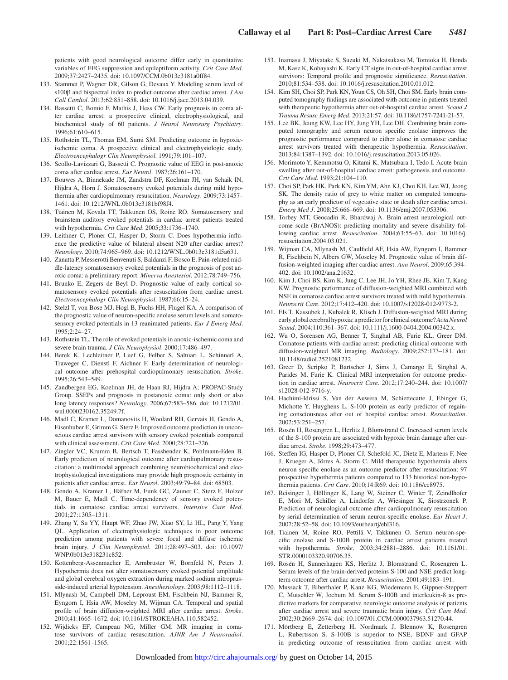patients with good neurological outcome differ early in quantitative variables of EEG suppression and epileptiform activity. *Crit Care Med*. 2009;37:2427–2435. doi: 10.1097/CCM.0b013e3181a0ff84.

- 133. Stammet P, Wagner DR, Gilson G, Devaux Y. Modeling serum level of s100β and bispectral index to predict outcome after cardiac arrest. *J Am Coll Cardiol*. 2013;62:851–858. doi: 10.1016/j.jacc.2013.04.039.
- 134. Bassetti C, Bomio F, Mathis J, Hess CW. Early prognosis in coma after cardiac arrest: a prospective clinical, electrophysiological, and biochemical study of 60 patients. *J Neurol Neurosurg Psychiatry*. 1996;61:610–615.
- 135. Rothstein TL, Thomas EM, Sumi SM. Predicting outcome in hypoxicischemic coma. A prospective clinical and electrophysiologic study. *Electroencephalogr Clin Neurophysiol*. 1991;79:101–107.
- 136. Scollo-Lavizzari G, Bassetti C. Prognostic value of EEG in post-anoxic coma after cardiac arrest. *Eur Neurol*. 1987;26:161–170.
- 137. Bouwes A, Binnekade JM, Zandstra DF, Koelman JH, van Schaik IN, Hijdra A, Horn J. Somatosensory evoked potentials during mild hypothermia after cardiopulmonary resuscitation. *Neurology*. 2009;73:1457– 1461. doi: 10.1212/WNL.0b013e3181bf98f4.
- 138. Tiainen M, Kovala TT, Takkunen OS, Roine RO. Somatosensory and brainstem auditory evoked potentials in cardiac arrest patients treated with hypothermia. *Crit Care Med*. 2005;33:1736–1740.
- 139. Leithner C, Ploner CJ, Hasper D, Storm C. Does hypothermia influence the predictive value of bilateral absent N20 after cardiac arrest? *Neurology*. 2010;74:965–969. doi: 10.1212/WNL.0b013e3181d5a631.
- 140. Zanatta P, Messerotti Benvenuti S, Baldanzi F, Bosco E. Pain-related middle-latency somatosensory evoked potentials in the prognosis of post anoxic coma: a preliminary report. *Minerva Anestesiol*. 2012;78:749–756.
- 141. Brunko E, Zegers de Beyl D. Prognostic value of early cortical somatosensory evoked potentials after resuscitation from cardiac arrest. *Electroencephalogr Clin Neurophysiol*. 1987;66:15–24.
- 142. Stelzl T, von Bose MJ, Hogl B, Fuchs HH, Flugel KA. A comparison of the prognostic value of neuron-specific enolase serum levels and somatosensory evoked potentials in 13 reanimated patients. *Eur J Emerg Med*. 1995;2:24–27.
- 143. Rothstein TL. The role of evoked potentials in anoxic-ischemic coma and severe brain trauma. *J Clin Neurophysiol*. 2000;17:486–497.
- 144. Berek K, Lechleitner P, Luef G, Felber S, Saltuari L, Schinnerl A, Traweger C, Dienstl F, Aichner F. Early determination of neurological outcome after prehospital cardiopulmonary resuscitation. *Stroke*. 1995;26:543–549.
- 145. Zandbergen EG, Koelman JH, de Haan RJ, Hijdra A; PROPAC-Study Group. SSEPs and prognosis in postanoxic coma: only short or also long latency responses? *Neurology*. 2006;67:583–586. doi: 10.1212/01. wnl.0000230162.35249.7f.
- 146. Madl C, Kramer L, Domanovits H, Woolard RH, Gervais H, Gendo A, Eisenhuber E, Grimm G, Sterz F. Improved outcome prediction in unconscious cardiac arrest survivors with sensory evoked potentials compared with clinical assessment. *Crit Care Med*. 2000;28:721–726.
- 147. Zingler VC, Krumm B, Bertsch T, Fassbender K, Pohlmann-Eden B. Early prediction of neurological outcome after cardiopulmonary resuscitation: a multimodal approach combining neurobiochemical and electrophysiological investigations may provide high prognostic certainty in patients after cardiac arrest. *Eur Neurol*. 2003;49:79–84. doi: 68503.
- 148. Gendo A, Kramer L, Häfner M, Funk GC, Zauner C, Sterz F, Holzer M, Bauer E, Madl C. Time-dependency of sensory evoked potentials in comatose cardiac arrest survivors. *Intensive Care Med*. 2001;27:1305–1311.
- 149. Zhang Y, Su YY, Haupt WF, Zhao JW, Xiao SY, Li HL, Pang Y, Yang QL. Application of electrophysiologic techniques in poor outcome prediction among patients with severe focal and diffuse ischemic brain injury. *J Clin Neurophysiol*. 2011;28:497–503. doi: 10.1097/ WNP.0b013e318231c852.
- 150. Kottenberg-Assenmacher E, Armbruster W, Bornfeld N, Peters J. Hypothermia does not alter somatosensory evoked potential amplitude and global cerebral oxygen extraction during marked sodium nitroprusside-induced arterial hypotension. *Anesthesiology*. 2003;98:1112–1118.
- 151. Mlynash M, Campbell DM, Leproust EM, Fischbein NJ, Bammer R, Eyngorn I, Hsia AW, Moseley M, Wijman CA. Temporal and spatial profile of brain diffusion-weighted MRI after cardiac arrest. *Stroke*. 2010;41:1665–1672. doi: 10.1161/STROKEAHA.110.582452.
- 152. Wijdicks EF, Campeau NG, Miller GM. MR imaging in comatose survivors of cardiac resuscitation. *AJNR Am J Neuroradiol*. 2001;22:1561–1565.
- 153. Inamasu J, Miyatake S, Suzuki M, Nakatsukasa M, Tomioka H, Honda M, Kase K, Kobayashi K. Early CT signs in out-of-hospital cardiac arrest survivors: Temporal profile and prognostic significance. *Resuscitation*. 2010;81:534–538. doi: 10.1016/j.resuscitation.2010.01.012.
- 154. Kim SH, Choi SP, Park KN, Youn CS, Oh SH, Choi SM. Early brain computed tomography findings are associated with outcome in patients treated with therapeutic hypothermia after out-of-hospital cardiac arrest. *Scand J Trauma Resusc Emerg Med*. 2013;21:57. doi: 10.1186/1757-7241-21-57.
- 155. Lee BK, Jeung KW, Lee HY, Jung YH, Lee DH. Combining brain computed tomography and serum neuron specific enolase improves the prognostic performance compared to either alone in comatose cardiac arrest survivors treated with therapeutic hypothermia. *Resuscitation*. 2013;84:1387–1392. doi: 10.1016/j.resuscitation.2013.05.026.
- 156. Morimoto Y, Kemmotsu O, Kitami K, Matsubara I, Tedo I. Acute brain swelling after out-of-hospital cardiac arrest: pathogenesis and outcome. *Crit Care Med*. 1993;21:104–110.
- 157. Choi SP, Park HK, Park KN, Kim YM, Ahn KJ, Choi KH, Lee WJ, Jeong SK. The density ratio of grey to white matter on computed tomography as an early predictor of vegetative state or death after cardiac arrest. *Emerg Med J*. 2008;25:666–669. doi: 10.1136/emj.2007.053306.
- 158. Torbey MT, Geocadin R, Bhardwaj A. Brain arrest neurological outcome scale (BrANOS): predicting mortality and severe disability following cardiac arrest. *Resuscitation*. 2004;63:55–63. doi: 10.1016/j. resuscitation.2004.03.021.
- 159. Wijman CA, Mlynash M, Caulfield AF, Hsia AW, Eyngorn I, Bammer R, Fischbein N, Albers GW, Moseley M. Prognostic value of brain diffusion-weighted imaging after cardiac arrest. *Ann Neurol*. 2009;65:394– 402. doi: 10.1002/ana.21632.
- 160. Kim J, Choi BS, Kim K, Jung C, Lee JH, Jo YH, Rhee JE, Kim T, Kang KW. Prognostic performance of diffusion-weighted MRI combined with NSE in comatose cardiac arrest survivors treated with mild hypothermia. *Neurocrit Care*. 2012;17:412–420. doi: 10.1007/s12028-012-9773-2.
- 161. Els T, Kassubek J, Kubalek R, Klisch J. Diffusion-weighted MRI during early global cerebral hypoxia: a predictor for clinical outcome? *Acta Neurol Scand*. 2004;110:361–367. doi: 10.1111/j.1600-0404.2004.00342.x.
- 162. Wu O, Sorensen AG, Benner T, Singhal AB, Furie KL, Greer DM. Comatose patients with cardiac arrest: predicting clinical outcome with diffusion-weighted MR imaging. *Radiology*. 2009;252:173–181. doi: 10.1148/radiol.2521081232.
- 163. Greer D, Scripko P, Bartscher J, Sims J, Camargo E, Singhal A, Parides M, Furie K. Clinical MRI interpretation for outcome prediction in cardiac arrest. *Neurocrit Care*. 2012;17:240–244. doi: 10.1007/ s12028-012-9716-y.
- 164. Hachimi-Idrissi S, Van der Auwera M, Schiettecatte J, Ebinger G, Michotte Y, Huyghens L. S-100 protein as early predictor of regaining consciousness after out of hospital cardiac arrest. *Resuscitation*. 2002;53:251–257.
- 165. Rosén H, Rosengren L, Herlitz J, Blomstrand C. Increased serum levels of the S-100 protein are associated with hypoxic brain damage after cardiac arrest. *Stroke*. 1998;29:473–477.
- 166. Steffen IG, Hasper D, Ploner CJ, Schefold JC, Dietz E, Martens F, Nee J, Krueger A, Jörres A, Storm C. Mild therapeutic hypothermia alters neuron specific enolase as an outcome predictor after resuscitation: 97 prospective hypothermia patients compared to 133 historical non-hypothermia patients. *Crit Care*. 2010;14:R69. doi: 10.1186/cc8975.
- 167. Reisinger J, Höllinger K, Lang W, Steiner C, Winter T, Zeindlhofer E, Mori M, Schiller A, Lindorfer A, Wiesinger K, Siostrzonek P. Prediction of neurological outcome after cardiopulmonary resuscitation by serial determination of serum neuron-specific enolase. *Eur Heart J*. 2007;28:52–58. doi: 10.1093/eurheartj/ehl316.
- 168. Tiainen M, Roine RO, Pettilä V, Takkunen O. Serum neuron-specific enolase and S-100B protein in cardiac arrest patients treated with hypothermia. *Stroke*. 2003;34:2881–2886. doi: 10.1161/01. STR.0000103320.90706.35
- 169. Rosén H, Sunnerhagen KS, Herlitz J, Blomstrand C, Rosengren L. Serum levels of the brain-derived proteins S-100 and NSE predict longterm outcome after cardiac arrest. *Resuscitation*. 2001;49:183–191.
- 170. Mussack T, Biberthaler P, Kanz KG, Wiedemann E, Gippner-Steppert C, Mutschler W, Jochum M. Serum S-100B and interleukin-8 as predictive markers for comparative neurologic outcome analysis of patients after cardiac arrest and severe traumatic brain injury. *Crit Care Med*. 2002;30:2669–2674. doi: 10.1097/01.CCM.0000037963.51270.44.
- 171. Mörtberg E, Zetterberg H, Nordmark J, Blennow K, Rosengren L, Rubertsson S. S-100B is superior to NSE, BDNF and GFAP in predicting outcome of resuscitation from cardiac arrest with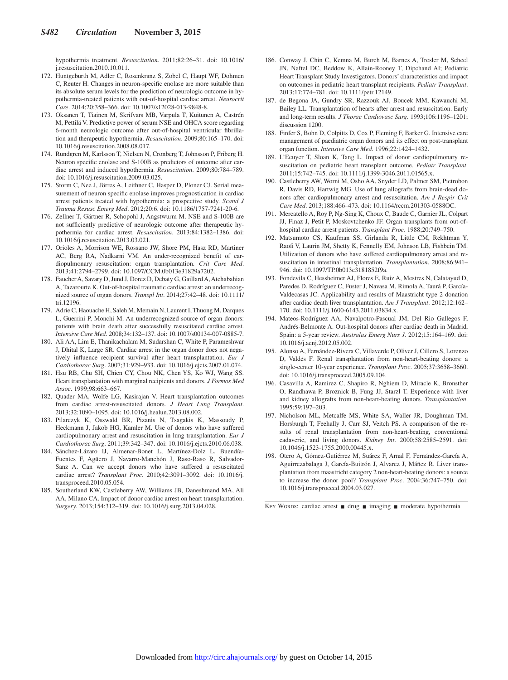hypothermia treatment. *Resuscitation*. 2011;82:26–31. doi: 10.1016/ j.resuscitation.2010.10.011.

- 172. Huntgeburth M, Adler C, Rosenkranz S, Zobel C, Haupt WF, Dohmen C, Reuter H. Changes in neuron-specific enolase are more suitable than its absolute serum levels for the prediction of neurologic outcome in hypothermia-treated patients with out-of-hospital cardiac arrest. *Neurocrit Care*. 2014;20:358–366. doi: 10.1007/s12028-013-9848-8.
- 173. Oksanen T, Tiainen M, Skrifvars MB, Varpula T, Kuitunen A, Castrén M, Pettilä V. Predictive power of serum NSE and OHCA score regarding 6-month neurologic outcome after out-of-hospital ventricular fibrillation and therapeutic hypothermia. *Resuscitation*. 2009;80:165–170. doi: 10.1016/j.resuscitation.2008.08.017.
- 174. Rundgren M, Karlsson T, Nielsen N, Cronberg T, Johnsson P, Friberg H. Neuron specific enolase and S-100B as predictors of outcome after cardiac arrest and induced hypothermia. *Resuscitation*. 2009;80:784–789. doi: 10.1016/j.resuscitation.2009.03.025.
- 175. Storm C, Nee J, Jörres A, Leithner C, Hasper D, Ploner CJ. Serial measurement of neuron specific enolase improves prognostication in cardiac arrest patients treated with hypothermia: a prospective study. *Scand J Trauma Resusc Emerg Med*. 2012;20:6. doi: 10.1186/1757-7241-20-6.
- 176. Zellner T, Gärtner R, Schopohl J, Angstwurm M. NSE and S-100B are not sufficiently predictive of neurologic outcome after therapeutic hypothermia for cardiac arrest. *Resuscitation*. 2013;84:1382–1386. doi: 10.1016/j.resuscitation.2013.03.021.
- 177. Orioles A, Morrison WE, Rossano JW, Shore PM, Hasz RD, Martiner AC, Berg RA, Nadkarni VM. An under-recognized benefit of cardiopulmonary resuscitation: organ transplantation. *Crit Care Med*. 2013;41:2794–2799. doi: 10.1097/CCM.0b013e31829a7202.
- 178. Faucher A, Savary D, Jund J, Dorez D, Debaty G, Gaillard A, Atchabahian A, Tazarourte K. Out-of-hospital traumatic cardiac arrest: an underrecognized source of organ donors. *Transpl Int*. 2014;27:42–48. doi: 10.1111/ tri.12196.
- 179. Adrie C, Haouache H, Saleh M, Memain N, Laurent I, Thuong M, Darques L, Guerrini P, Monchi M. An underrecognized source of organ donors: patients with brain death after successfully resuscitated cardiac arrest. *Intensive Care Med*. 2008;34:132–137. doi: 10.1007/s00134-007-0885-7.
- 180. Ali AA, Lim E, Thanikachalam M, Sudarshan C, White P, Parameshwar J, Dhital K, Large SR. Cardiac arrest in the organ donor does not negatively influence recipient survival after heart transplantation. *Eur J Cardiothorac Surg*. 2007;31:929–933. doi: 10.1016/j.ejcts.2007.01.074.
- 181. Hsu RB, Chu SH, Chien CY, Chou NK, Chen YS, Ko WJ, Wang SS. Heart transplantation with marginal recipients and donors. *J Formos Med Assoc*. 1999;98:663–667.
- 182. Quader MA, Wolfe LG, Kasirajan V. Heart transplantation outcomes from cardiac arrest-resuscitated donors. *J Heart Lung Transplant*. 2013;32:1090–1095. doi: 10.1016/j.healun.2013.08.002.
- 183. Pilarczyk K, Osswald BR, Pizanis N, Tsagakis K, Massoudy P, Heckmann J, Jakob HG, Kamler M. Use of donors who have suffered cardiopulmonary arrest and resuscitation in lung transplantation. *Eur J Cardiothorac Surg*. 2011;39:342–347. doi: 10.1016/j.ejcts.2010.06.038.
- 184. Sánchez-Lázaro IJ, Almenar-Bonet L, Martínez-Dolz L, Buendía-Fuentes F, Agüero J, Navarro-Manchón J, Raso-Raso R, Salvador-Sanz A. Can we accept donors who have suffered a resuscitated cardiac arrest? *Transplant Proc*. 2010;42:3091–3092. doi: 10.1016/j. transproceed.2010.05.054.
- 185. Southerland KW, Castleberry AW, Williams JB, Daneshmand MA, Ali AA, Milano CA. Impact of donor cardiac arrest on heart transplantation. *Surgery*. 2013;154:312–319. doi: 10.1016/j.surg.2013.04.028.
- 186. Conway J, Chin C, Kemna M, Burch M, Barnes A, Tresler M, Scheel JN, Naftel DC, Beddow K, Allain-Rooney T, Dipchand AI; Pediatric Heart Transplant Study Investigators. Donors' characteristics and impact on outcomes in pediatric heart transplant recipients. *Pediatr Transplant*. 2013;17:774–781. doi: 10.1111/petr.12149.
- 187. de Begona JA, Gundry SR, Razzouk AJ, Boucek MM, Kawauchi M, Bailey LL. Transplantation of hearts after arrest and resuscitation. Early and long-term results. *J Thorac Cardiovasc Surg*. 1993;106:1196–1201; discussion 1200.
- 188. Finfer S, Bohn D, Colpitts D, Cox P, Fleming F, Barker G. Intensive care management of paediatric organ donors and its effect on post-transplant organ function. *Intensive Care Med*. 1996;22:1424–1432.
- 189. L'Ecuyer T, Sloan K, Tang L. Impact of donor cardiopulmonary resuscitation on pediatric heart transplant outcome. *Pediatr Transplant*. 2011;15:742–745. doi: 10.1111/j.1399-3046.2011.01565.x.
- 190. Castleberry AW, Worni M, Osho AA, Snyder LD, Palmer SM, Pietrobon R, Davis RD, Hartwig MG. Use of lung allografts from brain-dead donors after cardiopulmonary arrest and resuscitation. *Am J Respir Crit Care Med*. 2013;188:466–473. doi: 10.1164/rccm.201303-0588OC.
- 191. Mercatello A, Roy P, Ng-Sing K, Choux C, Baude C, Garnier JL, Colpart JJ, Finaz J, Petit P, Moskovtchenko JF. Organ transplants from out-ofhospital cardiac arrest patients. *Transplant Proc*. 1988;20:749–750.
- 192. Matsumoto CS, Kaufman SS, Girlanda R, Little CM, Rekhtman Y, Raofi V, Laurin JM, Shetty K, Fennelly EM, Johnson LB, Fishbein TM. Utilization of donors who have suffered cardiopulmonary arrest and resuscitation in intestinal transplantation. *Transplantation*. 2008;86:941– 946. doi: 10.1097/TP.0b013e3181852f9a.
- 193. Fondevila C, Hessheimer AJ, Flores E, Ruiz A, Mestres N, Calatayud D, Paredes D, Rodríguez C, Fuster J, Navasa M, Rimola A, Taurá P, García-Valdecasas JC. Applicability and results of Maastricht type 2 donation after cardiac death liver transplantation. *Am J Transplant*. 2012;12:162– 170. doi: 10.1111/j.1600-6143.2011.03834.x.
- 194. Mateos-Rodríguez AA, Navalpotro-Pascual JM, Del Rio Gallegos F, Andrés-Belmonte A. Out-hospital donors after cardiac death in Madrid, Spain: a 5-year review. *Australas Emerg Nurs J*. 2012;15:164–169. doi: 10.1016/j.aenj.2012.05.002.
- 195. Alonso A, Fernández-Rivera C, Villaverde P, Oliver J, Cillero S, Lorenzo D, Valdés F. Renal transplantation from non-heart-beating donors: a single-center 10-year experience. *Transplant Proc*. 2005;37:3658–3660. doi: 10.1016/j.transproceed.2005.09.104.
- 196. Casavilla A, Ramirez C, Shapiro R, Nghiem D, Miracle K, Bronsther O, Randhawa P, Broznick B, Fung JJ, Starzl T. Experience with liver and kidney allografts from non-heart-beating donors. *Transplantation*. 1995;59:197–203.
- 197. Nicholson ML, Metcalfe MS, White SA, Waller JR, Doughman TM, Horsburgh T, Feehally J, Carr SJ, Veitch PS. A comparison of the results of renal transplantation from non-heart-beating, conventional cadaveric, and living donors. *Kidney Int*. 2000;58:2585–2591. doi: 10.1046/j.1523-1755.2000.00445.x.
- 198. Otero A, Gómez-Gutiérrez M, Suárez F, Arnal F, Fernández-García A, Aguirrezabalaga J, García-Buitrón J, Alvarez J, Máñez R. Liver transplantation from maastricht category 2 non-heart-beating donors: a source to increase the donor pool? *Transplant Proc*. 2004;36:747–750. doi: 10.1016/j.transproceed.2004.03.027.

KEY WORDS: cardiac arrest ■ drug ■ imaging ■ moderate hypothermia